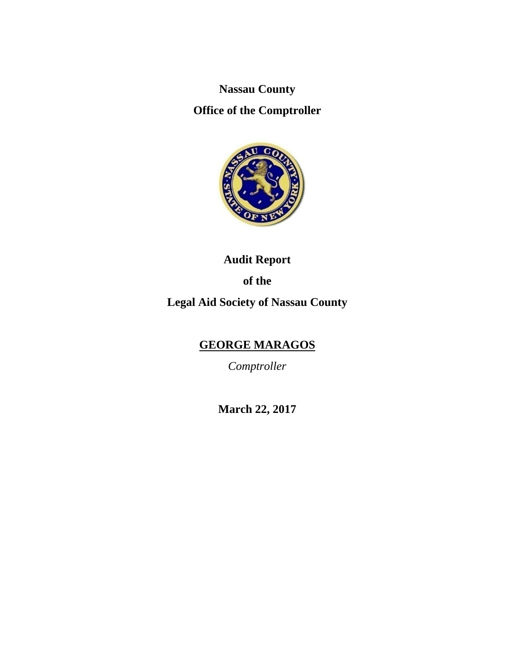**Nassau County** 

**Office of the Comptroller** 



**Audit Report of the Legal Aid Society of Nassau County** 

# **GEORGE MARAGOS**

*Comptroller* 

**March 22, 2017**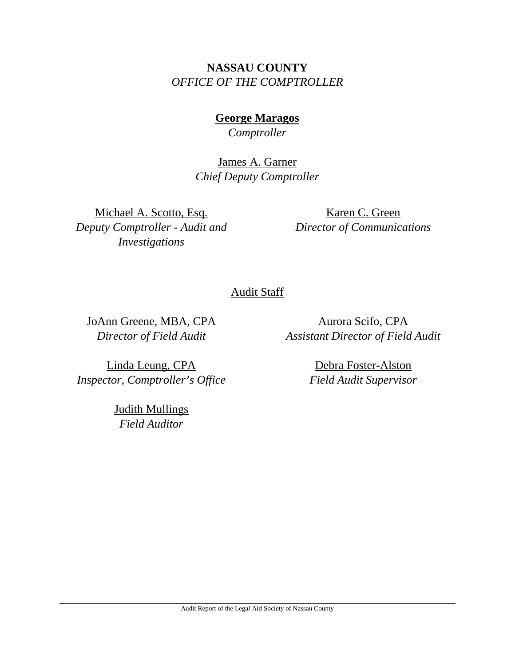# **NASSAU COUNTY**  *OFFICE OF THE COMPTROLLER*

**George Maragos**  *Comptroller* 

James A. Garner *Chief Deputy Comptroller*

Michael A. Scotto, Esq. *Deputy Comptroller - Audit and Investigations* 

Karen C. Green *Director of Communications*

Audit Staff

JoAnn Greene, MBA, CPA *Director of Field Audit* 

*Assistant Director of Field Audit* 

Linda Leung, CPA *Inspector, Comptroller's Office* 

> Judith Mullings *Field Auditor*

Debra Foster-Alston *Field Audit Supervisor* 

Aurora Scifo, CPA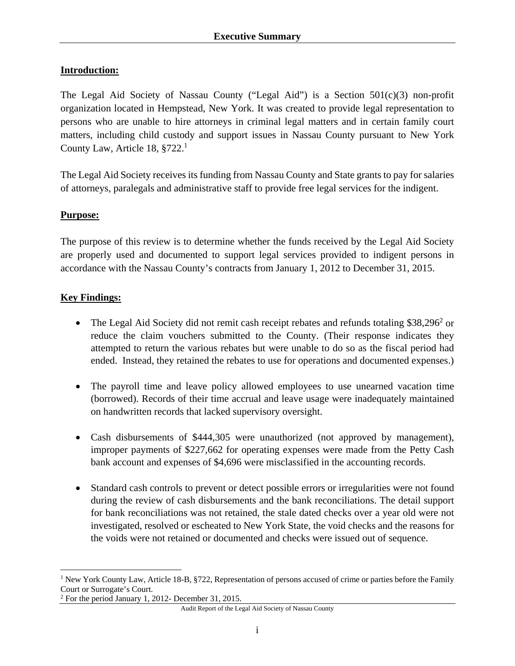The Legal Aid Society of Nassau County ("Legal Aid") is a Section 501(c)(3) non-profit organization located in Hempstead, New York. It was created to provide legal representation to persons who are unable to hire attorneys in criminal legal matters and in certain family court matters, including child custody and support issues in Nassau County pursuant to New York County Law, Article 18,  $§722<sup>1</sup>$ 

The Legal Aid Society receives its funding from Nassau County and State grants to pay for salaries of attorneys, paralegals and administrative staff to provide free legal services for the indigent.

#### **Purpose:**

The purpose of this review is to determine whether the funds received by the Legal Aid Society are properly used and documented to support legal services provided to indigent persons in accordance with the Nassau County's contracts from January 1, 2012 to December 31, 2015.

#### **Key Findings:**

1

- The Legal Aid Society did not remit cash receipt rebates and refunds totaling  $$38,296^2$  or reduce the claim vouchers submitted to the County. (Their response indicates they attempted to return the various rebates but were unable to do so as the fiscal period had ended. Instead, they retained the rebates to use for operations and documented expenses.)
- The payroll time and leave policy allowed employees to use unearned vacation time (borrowed). Records of their time accrual and leave usage were inadequately maintained on handwritten records that lacked supervisory oversight.
- Cash disbursements of \$444,305 were unauthorized (not approved by management), improper payments of \$227,662 for operating expenses were made from the Petty Cash bank account and expenses of \$4,696 were misclassified in the accounting records.
- Standard cash controls to prevent or detect possible errors or irregularities were not found during the review of cash disbursements and the bank reconciliations. The detail support for bank reconciliations was not retained, the stale dated checks over a year old were not investigated, resolved or escheated to New York State, the void checks and the reasons for the voids were not retained or documented and checks were issued out of sequence.

<sup>&</sup>lt;sup>1</sup> New York County Law, Article 18-B, §722, Representation of persons accused of crime or parties before the Family Court or Surrogate's Court.

<sup>&</sup>lt;sup>2</sup> For the period January 1, 2012- December 31, 2015.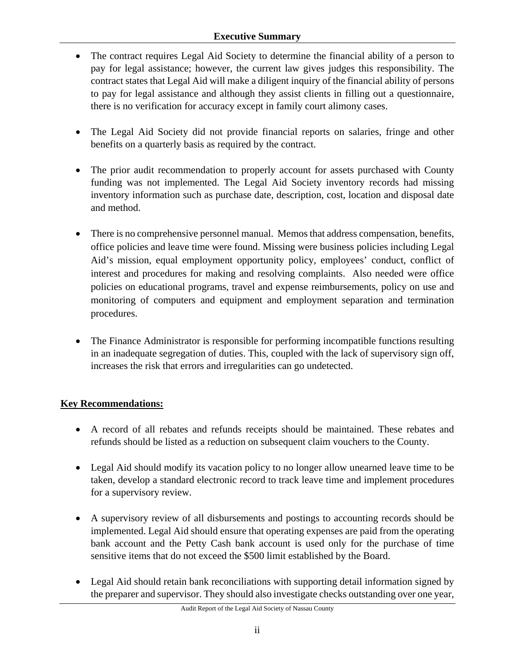### **Executive Summary**

- The contract requires Legal Aid Society to determine the financial ability of a person to pay for legal assistance; however, the current law gives judges this responsibility. The contract states that Legal Aid will make a diligent inquiry of the financial ability of persons to pay for legal assistance and although they assist clients in filling out a questionnaire, there is no verification for accuracy except in family court alimony cases.
- The Legal Aid Society did not provide financial reports on salaries, fringe and other benefits on a quarterly basis as required by the contract.
- The prior audit recommendation to properly account for assets purchased with County funding was not implemented. The Legal Aid Society inventory records had missing inventory information such as purchase date, description, cost, location and disposal date and method.
- There is no comprehensive personnel manual. Memos that address compensation, benefits, office policies and leave time were found. Missing were business policies including Legal Aid's mission, equal employment opportunity policy, employees' conduct, conflict of interest and procedures for making and resolving complaints. Also needed were office policies on educational programs, travel and expense reimbursements, policy on use and monitoring of computers and equipment and employment separation and termination procedures.
- The Finance Administrator is responsible for performing incompatible functions resulting in an inadequate segregation of duties. This, coupled with the lack of supervisory sign off, increases the risk that errors and irregularities can go undetected.

### **Key Recommendations:**

- A record of all rebates and refunds receipts should be maintained. These rebates and refunds should be listed as a reduction on subsequent claim vouchers to the County.
- Legal Aid should modify its vacation policy to no longer allow unearned leave time to be taken, develop a standard electronic record to track leave time and implement procedures for a supervisory review.
- A supervisory review of all disbursements and postings to accounting records should be implemented. Legal Aid should ensure that operating expenses are paid from the operating bank account and the Petty Cash bank account is used only for the purchase of time sensitive items that do not exceed the \$500 limit established by the Board.
- Legal Aid should retain bank reconciliations with supporting detail information signed by the preparer and supervisor. They should also investigate checks outstanding over one year,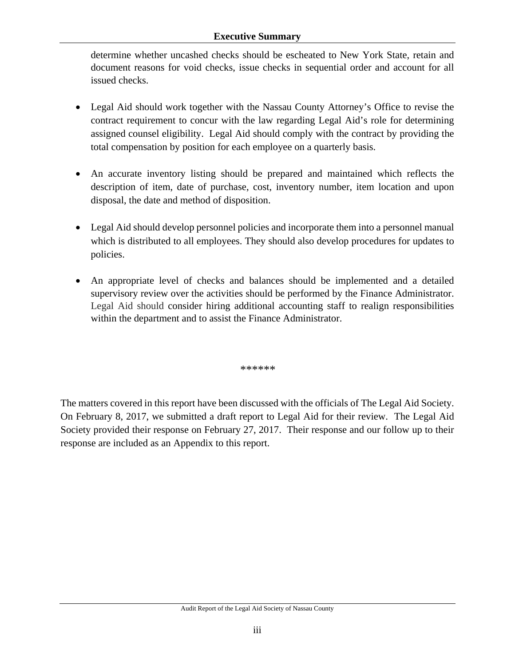#### **Executive Summary**

determine whether uncashed checks should be escheated to New York State, retain and document reasons for void checks, issue checks in sequential order and account for all issued checks.

- Legal Aid should work together with the Nassau County Attorney's Office to revise the contract requirement to concur with the law regarding Legal Aid's role for determining assigned counsel eligibility. Legal Aid should comply with the contract by providing the total compensation by position for each employee on a quarterly basis.
- An accurate inventory listing should be prepared and maintained which reflects the description of item, date of purchase, cost, inventory number, item location and upon disposal, the date and method of disposition.
- Legal Aid should develop personnel policies and incorporate them into a personnel manual which is distributed to all employees. They should also develop procedures for updates to policies.
- An appropriate level of checks and balances should be implemented and a detailed supervisory review over the activities should be performed by the Finance Administrator. Legal Aid should consider hiring additional accounting staff to realign responsibilities within the department and to assist the Finance Administrator.

*\*\*\*\*\*\** 

The matters covered in this report have been discussed with the officials of The Legal Aid Society. On February 8, 2017, we submitted a draft report to Legal Aid for their review. The Legal Aid Society provided their response on February 27, 2017. Their response and our follow up to their response are included as an Appendix to this report.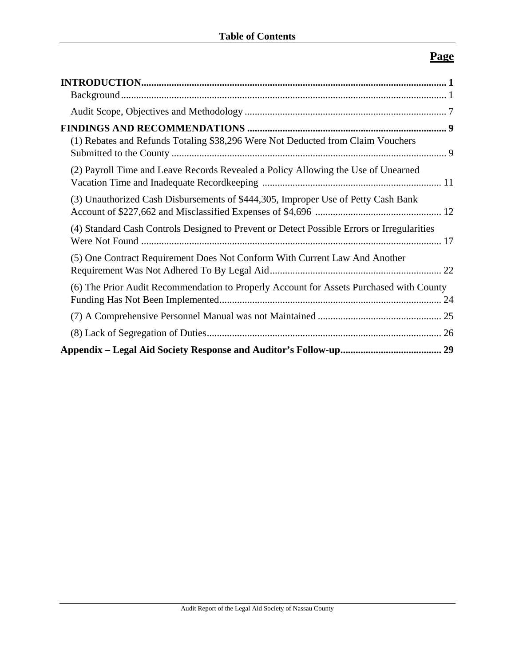# **Page**

| (1) Rebates and Refunds Totaling \$38,296 Were Not Deducted from Claim Vouchers            |
|--------------------------------------------------------------------------------------------|
| (2) Payroll Time and Leave Records Revealed a Policy Allowing the Use of Unearned          |
| (3) Unauthorized Cash Disbursements of \$444,305, Improper Use of Petty Cash Bank          |
| (4) Standard Cash Controls Designed to Prevent or Detect Possible Errors or Irregularities |
| (5) One Contract Requirement Does Not Conform With Current Law And Another                 |
| (6) The Prior Audit Recommendation to Properly Account for Assets Purchased with County    |
|                                                                                            |
|                                                                                            |
|                                                                                            |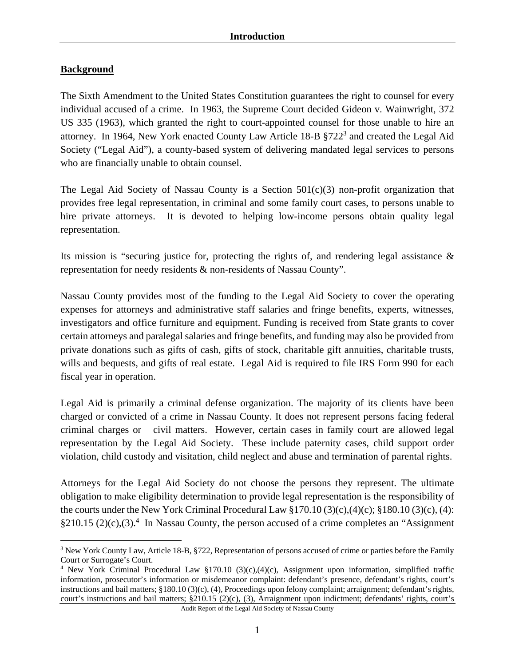### **Background**

The Sixth Amendment to the United States Constitution guarantees the right to counsel for every individual accused of a crime. In 1963, the Supreme Court decided Gideon v. Wainwright, 372 US 335 (1963), which granted the right to court-appointed counsel for those unable to hire an attorney. In 1964, New York enacted County Law Article 18-B §722<sup>3</sup> and created the Legal Aid Society ("Legal Aid"), a county-based system of delivering mandated legal services to persons who are financially unable to obtain counsel.

The Legal Aid Society of Nassau County is a Section 501(c)(3) non-profit organization that provides free legal representation, in criminal and some family court cases, to persons unable to hire private attorneys. It is devoted to helping low-income persons obtain quality legal representation.

Its mission is "securing justice for, protecting the rights of, and rendering legal assistance  $\&$ representation for needy residents & non-residents of Nassau County".

Nassau County provides most of the funding to the Legal Aid Society to cover the operating expenses for attorneys and administrative staff salaries and fringe benefits, experts, witnesses, investigators and office furniture and equipment. Funding is received from State grants to cover certain attorneys and paralegal salaries and fringe benefits, and funding may also be provided from private donations such as gifts of cash, gifts of stock, charitable gift annuities, charitable trusts, wills and bequests, and gifts of real estate. Legal Aid is required to file IRS Form 990 for each fiscal year in operation.

Legal Aid is primarily a criminal defense organization. The majority of its clients have been charged or convicted of a crime in Nassau County. It does not represent persons facing federal criminal charges or civil matters. However, certain cases in family court are allowed legal representation by the Legal Aid Society. These include paternity cases, child support order violation, child custody and visitation, child neglect and abuse and termination of parental rights.

Attorneys for the Legal Aid Society do not choose the persons they represent. The ultimate obligation to make eligibility determination to provide legal representation is the responsibility of the courts under the New York Criminal Procedural Law  $\S 170.10(3)(c)$ ,  $(\frac{4}{c})$ ;  $\S 180.10(3)(c)$ ,  $(4)$ : §210.15 (2)(c),(3).<sup>4</sup> In Nassau County, the person accused of a crime completes an "Assignment"

<sup>1</sup> <sup>3</sup> New York County Law, Article 18-B, §722, Representation of persons accused of crime or parties before the Family Court or Surrogate's Court.

<sup>4</sup> New York Criminal Procedural Law §170.10 (3)(c),(4)(c), Assignment upon information, simplified traffic information, prosecutor's information or misdemeanor complaint: defendant's presence, defendant's rights, court's instructions and bail matters; §180.10 (3)(c), (4), Proceedings upon felony complaint; arraignment; defendant's rights, court's instructions and bail matters; §210.15 (2)(c), (3), Arraignment upon indictment; defendants' rights, court's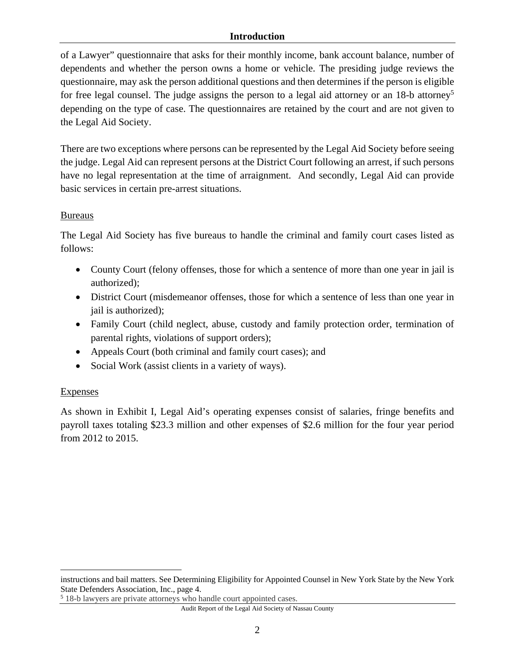of a Lawyer" questionnaire that asks for their monthly income, bank account balance, number of dependents and whether the person owns a home or vehicle. The presiding judge reviews the questionnaire, may ask the person additional questions and then determines if the person is eligible for free legal counsel. The judge assigns the person to a legal aid attorney or an  $18$ -b attorney<sup>5</sup> depending on the type of case. The questionnaires are retained by the court and are not given to the Legal Aid Society.

There are two exceptions where persons can be represented by the Legal Aid Society before seeing the judge. Legal Aid can represent persons at the District Court following an arrest, if such persons have no legal representation at the time of arraignment. And secondly, Legal Aid can provide basic services in certain pre-arrest situations.

#### **Bureaus**

The Legal Aid Society has five bureaus to handle the criminal and family court cases listed as follows:

- County Court (felony offenses, those for which a sentence of more than one year in jail is authorized);
- District Court (misdemeanor offenses, those for which a sentence of less than one year in jail is authorized);
- Family Court (child neglect, abuse, custody and family protection order, termination of parental rights, violations of support orders);
- Appeals Court (both criminal and family court cases); and
- Social Work (assist clients in a variety of ways).

#### Expenses

 $\overline{a}$ 

As shown in Exhibit I, Legal Aid's operating expenses consist of salaries, fringe benefits and payroll taxes totaling \$23.3 million and other expenses of \$2.6 million for the four year period from 2012 to 2015.

instructions and bail matters. See Determining Eligibility for Appointed Counsel in New York State by the New York State Defenders Association, Inc., page 4.

<sup>5</sup> 18-b lawyers are private attorneys who handle court appointed cases.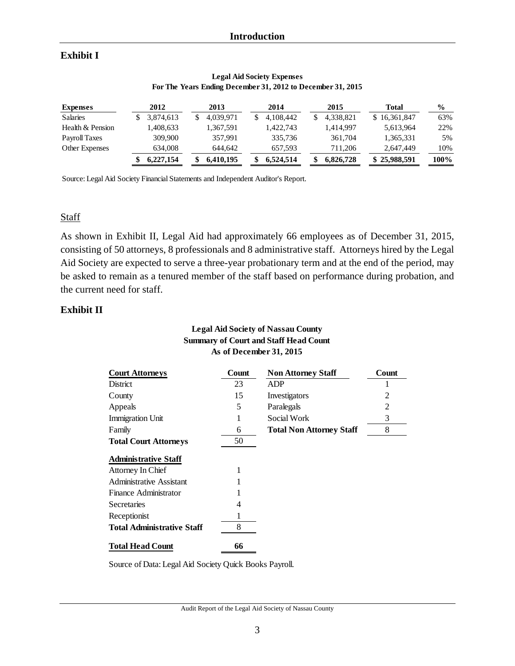### **Exhibit I**

| <b>Expenses</b>  | 2012      | 2013      | 2014      | 2015      | Total        | $\frac{6}{6}$ |
|------------------|-----------|-----------|-----------|-----------|--------------|---------------|
| <b>Salaries</b>  | 3,874,613 | 4.039.971 | 4,108,442 | 4,338,821 | \$16,361,847 | 63%           |
| Health & Pension | .408,633  | 1,367,591 | 1,422,743 | 1.414.997 | 5,613,964    | 22%           |
| Payroll Taxes    | 309,900   | 357.991   | 335,736   | 361,704   | 1,365,331    | 5%            |
| Other Expenses   | 634,008   | 644.642   | 657.593   | 711.206   | 2,647,449    | 10%           |
|                  | 6,227,154 | 6,410,195 | 6.524.514 | 6.826.728 | \$25,988,591 | 100%          |

#### **Legal Aid Society Expenses For The Years Ending December 31, 2012 to December 31, 2015**

Source: Legal Aid Society Financial Statements and Independent Auditor's Report.

#### **Staff**

As shown in Exhibit II, Legal Aid had approximately 66 employees as of December 31, 2015, consisting of 50 attorneys, 8 professionals and 8 administrative staff. Attorneys hired by the Legal Aid Society are expected to serve a three-year probationary term and at the end of the period, may be asked to remain as a tenured member of the staff based on performance during probation, and the current need for staff.

#### **Exhibit II**

#### **Legal Aid Society of Nassau County Summary of Court and Staff Head Count As of December 31, 2015**

| <b>Court Attorneys</b>            | Count | <b>Non Attorney Staff</b>       | Count |
|-----------------------------------|-------|---------------------------------|-------|
| District                          | 23    | <b>ADP</b>                      |       |
| County                            | 15    | Investigators                   | 2     |
| Appeals                           | 5     | Paralegals                      | 2     |
| <b>Immigration Unit</b>           |       | Social Work                     | 3     |
| Family                            | 6     | <b>Total Non Attorney Staff</b> | 8     |
| <b>Total Court Attorneys</b>      | 50    |                                 |       |
| <b>Administrative Staff</b>       |       |                                 |       |
| Attorney In Chief                 |       |                                 |       |
| <b>Administrative Assistant</b>   |       |                                 |       |
| Finance Administrator             |       |                                 |       |
| Secretaries                       | 4     |                                 |       |
| Receptionist                      | 1     |                                 |       |
| <b>Total Administrative Staff</b> | 8     |                                 |       |
| <b>Total Head Count</b>           | 66    |                                 |       |

Source of Data: Legal Aid Society Quick Books Payroll.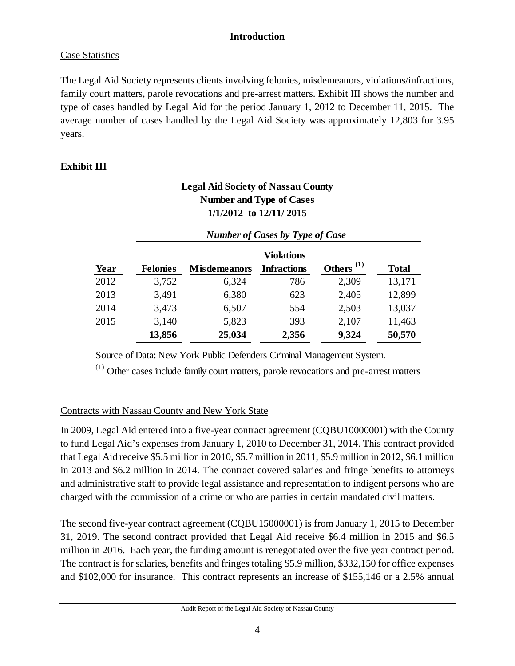### Case Statistics

The Legal Aid Society represents clients involving felonies, misdemeanors, violations/infractions, family court matters, parole revocations and pre-arrest matters. Exhibit III shows the number and type of cases handled by Legal Aid for the period January 1, 2012 to December 11, 2015. The average number of cases handled by the Legal Aid Society was approximately 12,803 for 3.95 years.

## **Exhibit III**

## **Legal Aid Society of Nassau County Number and Type of Cases 1/1/2012 to 12/11/ 2015**

*Number of Cases by Type of Case* 

|      |                 | $\cdot$<br>. .<br>$\cdot$ |                                         |                                    |              |  |  |  |  |
|------|-----------------|---------------------------|-----------------------------------------|------------------------------------|--------------|--|--|--|--|
| Year | <b>Felonies</b> | <b>Misdemeanors</b>       | <b>Violations</b><br><b>Infractions</b> | Others <sup><math>(1)</math></sup> | <b>Total</b> |  |  |  |  |
| 2012 | 3,752           | 6,324                     | 786                                     | 2,309                              | 13,171       |  |  |  |  |
| 2013 | 3,491           | 6,380                     | 623                                     | 2,405                              | 12,899       |  |  |  |  |
| 2014 | 3,473           | 6,507                     | 554                                     | 2,503                              | 13,037       |  |  |  |  |
| 2015 | 3,140           | 5,823                     | 393                                     | 2,107                              | 11,463       |  |  |  |  |
|      | 13,856          | 25,034                    | 2,356                                   | 9,324                              | 50,570       |  |  |  |  |
|      |                 |                           |                                         |                                    |              |  |  |  |  |

Source of Data: New York Public Defenders Criminal Management System.

(1) Other cases include family court matters, parole revocations and pre-arrest matters

### Contracts with Nassau County and New York State

In 2009, Legal Aid entered into a five-year contract agreement (CQBU10000001) with the County to fund Legal Aid's expenses from January 1, 2010 to December 31, 2014. This contract provided that Legal Aid receive \$5.5 million in 2010, \$5.7 million in 2011, \$5.9 million in 2012, \$6.1 million in 2013 and \$6.2 million in 2014. The contract covered salaries and fringe benefits to attorneys and administrative staff to provide legal assistance and representation to indigent persons who are charged with the commission of a crime or who are parties in certain mandated civil matters.

The second five-year contract agreement (CQBU15000001) is from January 1, 2015 to December 31, 2019. The second contract provided that Legal Aid receive \$6.4 million in 2015 and \$6.5 million in 2016. Each year, the funding amount is renegotiated over the five year contract period. The contract is for salaries, benefits and fringes totaling \$5.9 million, \$332,150 for office expenses and \$102,000 for insurance. This contract represents an increase of \$155,146 or a 2.5% annual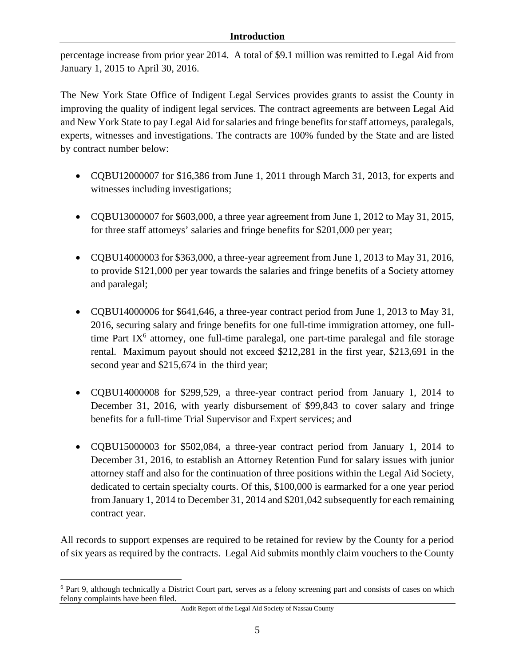percentage increase from prior year 2014. A total of \$9.1 million was remitted to Legal Aid from January 1, 2015 to April 30, 2016.

The New York State Office of Indigent Legal Services provides grants to assist the County in improving the quality of indigent legal services. The contract agreements are between Legal Aid and New York State to pay Legal Aid for salaries and fringe benefits for staff attorneys, paralegals, experts, witnesses and investigations. The contracts are 100% funded by the State and are listed by contract number below:

- COBU12000007 for \$16,386 from June 1, 2011 through March 31, 2013, for experts and witnesses including investigations;
- CQBU13000007 for \$603,000, a three year agreement from June 1, 2012 to May 31, 2015, for three staff attorneys' salaries and fringe benefits for \$201,000 per year;
- CQBU14000003 for \$363,000, a three-year agreement from June 1, 2013 to May 31, 2016, to provide \$121,000 per year towards the salaries and fringe benefits of a Society attorney and paralegal;
- CQBU14000006 for \$641,646, a three-year contract period from June 1, 2013 to May 31, 2016, securing salary and fringe benefits for one full-time immigration attorney, one fulltime Part IX $<sup>6</sup>$  attorney, one full-time paralegal, one part-time paralegal and file storage</sup> rental. Maximum payout should not exceed \$212,281 in the first year, \$213,691 in the second year and \$215,674 in the third year;
- CQBU14000008 for \$299,529, a three-year contract period from January 1, 2014 to December 31, 2016, with yearly disbursement of \$99,843 to cover salary and fringe benefits for a full-time Trial Supervisor and Expert services; and
- CQBU15000003 for \$502,084, a three-year contract period from January 1, 2014 to December 31, 2016, to establish an Attorney Retention Fund for salary issues with junior attorney staff and also for the continuation of three positions within the Legal Aid Society, dedicated to certain specialty courts. Of this, \$100,000 is earmarked for a one year period from January 1, 2014 to December 31, 2014 and \$201,042 subsequently for each remaining contract year.

All records to support expenses are required to be retained for review by the County for a period of six years as required by the contracts. Legal Aid submits monthly claim vouchers to the County

 $\overline{a}$ 

<sup>&</sup>lt;sup>6</sup> Part 9, although technically a District Court part, serves as a felony screening part and consists of cases on which felony complaints have been filed.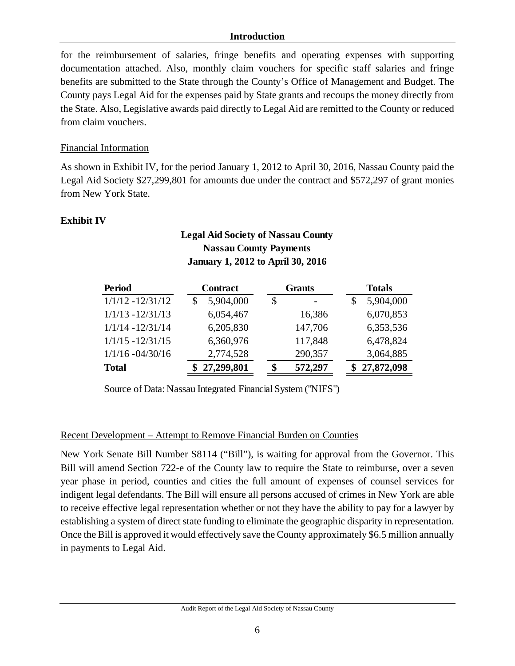for the reimbursement of salaries, fringe benefits and operating expenses with supporting documentation attached. Also, monthly claim vouchers for specific staff salaries and fringe benefits are submitted to the State through the County's Office of Management and Budget. The County pays Legal Aid for the expenses paid by State grants and recoups the money directly from the State. Also, Legislative awards paid directly to Legal Aid are remitted to the County or reduced from claim vouchers.

#### Financial Information

As shown in Exhibit IV, for the period January 1, 2012 to April 30, 2016, Nassau County paid the Legal Aid Society \$27,299,801 for amounts due under the contract and \$572,297 of grant monies from New York State.

### **Exhibit IV**

### **Legal Aid Society of Nassau County Nassau County Payments January 1, 2012 to April 30, 2016**

| <b>Period</b>       | <b>Contract</b> | <b>Grants</b> | <b>Totals</b>   |
|---------------------|-----------------|---------------|-----------------|
| $1/1/12 - 12/31/12$ | 5,904,000       | \$            | 5,904,000<br>\$ |
| $1/1/13 - 12/31/13$ | 6,054,467       | 16,386        | 6,070,853       |
| $1/1/14 - 12/31/14$ | 6,205,830       | 147,706       | 6,353,536       |
| $1/1/15 - 12/31/15$ | 6,360,976       | 117,848       | 6,478,824       |
| $1/1/16 - 04/30/16$ | 2,774,528       | 290,357       | 3,064,885       |
| <b>Total</b>        | \$27,299,801    | 572,297<br>\$ | \$27,872,098    |

Source of Data: Nassau Integrated Financial System ("NIFS")

#### Recent Development – Attempt to Remove Financial Burden on Counties

New York Senate Bill Number S8114 ("Bill"), is waiting for approval from the Governor. This Bill will amend Section 722-e of the County law to require the State to reimburse, over a seven year phase in period, counties and cities the full amount of expenses of counsel services for indigent legal defendants. The Bill will ensure all persons accused of crimes in New York are able to receive effective legal representation whether or not they have the ability to pay for a lawyer by establishing a system of direct state funding to eliminate the geographic disparity in representation. Once the Bill is approved it would effectively save the County approximately \$6.5 million annually in payments to Legal Aid.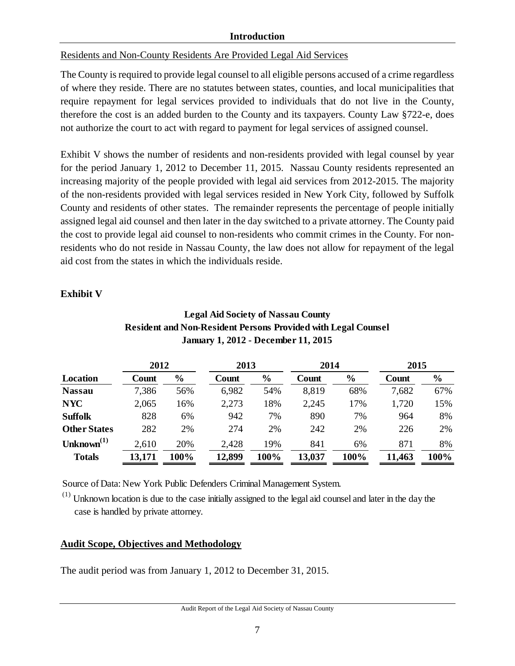### Residents and Non-County Residents Are Provided Legal Aid Services

The County is required to provide legal counsel to all eligible persons accused of a crime regardless of where they reside. There are no statutes between states, counties, and local municipalities that require repayment for legal services provided to individuals that do not live in the County, therefore the cost is an added burden to the County and its taxpayers. County Law §722-e, does not authorize the court to act with regard to payment for legal services of assigned counsel.

Exhibit V shows the number of residents and non-residents provided with legal counsel by year for the period January 1, 2012 to December 11, 2015. Nassau County residents represented an increasing majority of the people provided with legal aid services from 2012-2015. The majority of the non-residents provided with legal services resided in New York City, followed by Suffolk County and residents of other states. The remainder represents the percentage of people initially assigned legal aid counsel and then later in the day switched to a private attorney. The County paid the cost to provide legal aid counsel to non-residents who commit crimes in the County. For nonresidents who do not reside in Nassau County, the law does not allow for repayment of the legal aid cost from the states in which the individuals reside.

### **Exhibit V**

| <b>January 1, 2012 - December 11, 2015</b> |        |                |        |               |        |               |        |               |
|--------------------------------------------|--------|----------------|--------|---------------|--------|---------------|--------|---------------|
|                                            | 2012   |                | 2013   |               | 2014   |               | 2015   |               |
| <b>Location</b>                            | Count  | $\frac{6}{10}$ | Count  | $\frac{6}{6}$ | Count  | $\frac{6}{6}$ | Count  | $\frac{0}{0}$ |
| <b>Nassau</b>                              | 7,386  | 56%            | 6,982  | 54%           | 8,819  | 68%           | 7,682  | 67%           |
| <b>NYC</b>                                 | 2,065  | 16%            | 2,273  | 18%           | 2,245  | 17%           | 1,720  | 15%           |
| <b>Suffolk</b>                             | 828    | 6%             | 942    | 7%            | 890    | 7%            | 964    | 8%            |
| <b>Other States</b>                        | 282    | 2%             | 274    | 2%            | 242    | 2%            | 226    | 2%            |
| Unknown $^{(1)}$                           | 2,610  | 20%            | 2,428  | 19%           | 841    | 6%            | 871    | 8%            |
| <b>Totals</b>                              | 13,171 | 100%           | 12,899 | 100%          | 13,037 | 100%          | 11,463 | 100%          |

### **Legal Aid Society of Nassau County Resident and Non-Resident Persons Provided with Legal Counsel January 1, 2012 - December 11, 2015**

Source of Data: New York Public Defenders Criminal Management System.

 $(1)$  Unknown location is due to the case initially assigned to the legal aid counsel and later in the day the case is handled by private attorney.

### **Audit Scope, Objectives and Methodology**

The audit period was from January 1, 2012 to December 31, 2015.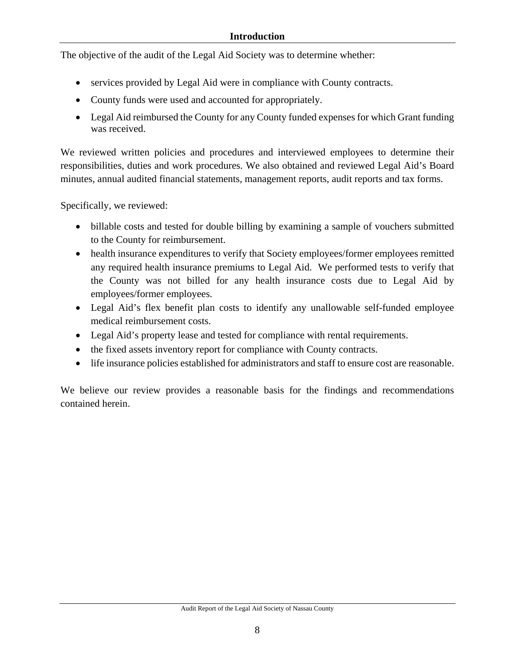The objective of the audit of the Legal Aid Society was to determine whether:

- services provided by Legal Aid were in compliance with County contracts.
- County funds were used and accounted for appropriately.
- Legal Aid reimbursed the County for any County funded expenses for which Grant funding was received.

We reviewed written policies and procedures and interviewed employees to determine their responsibilities, duties and work procedures. We also obtained and reviewed Legal Aid's Board minutes, annual audited financial statements, management reports, audit reports and tax forms.

Specifically, we reviewed:

- billable costs and tested for double billing by examining a sample of vouchers submitted to the County for reimbursement.
- health insurance expenditures to verify that Society employees/former employees remitted any required health insurance premiums to Legal Aid. We performed tests to verify that the County was not billed for any health insurance costs due to Legal Aid by employees/former employees.
- Legal Aid's flex benefit plan costs to identify any unallowable self-funded employee medical reimbursement costs.
- Legal Aid's property lease and tested for compliance with rental requirements.
- the fixed assets inventory report for compliance with County contracts.
- life insurance policies established for administrators and staff to ensure cost are reasonable.

We believe our review provides a reasonable basis for the findings and recommendations contained herein.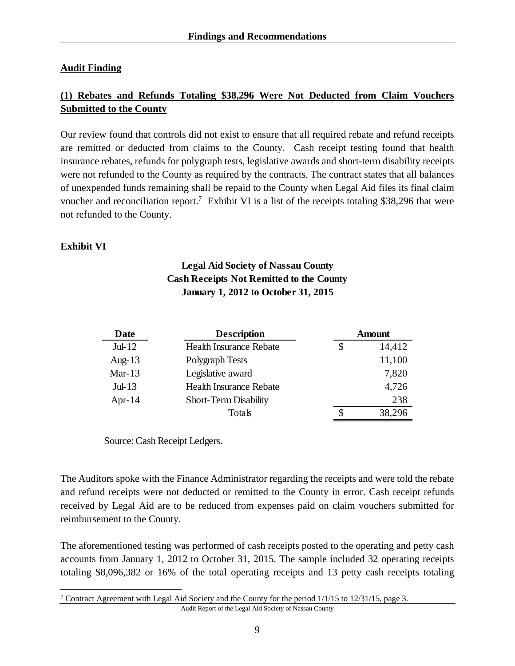#### **Audit Finding**

## **(1) Rebates and Refunds Totaling \$38,296 Were Not Deducted from Claim Vouchers Submitted to the County**

Our review found that controls did not exist to ensure that all required rebate and refund receipts are remitted or deducted from claims to the County. Cash receipt testing found that health insurance rebates, refunds for polygraph tests, legislative awards and short-term disability receipts were not refunded to the County as required by the contracts. The contract states that all balances of unexpended funds remaining shall be repaid to the County when Legal Aid files its final claim voucher and reconciliation report.<sup>7</sup> Exhibit VI is a list of the receipts totaling \$38,296 that were not refunded to the County.

#### **Exhibit VI**

## **Legal Aid Society of Nassau County Cash Receipts Not Remitted to the County January 1, 2012 to October 31, 2015**

| Date      | <b>Description</b>             | <b>Amount</b> |
|-----------|--------------------------------|---------------|
| $Jul-12$  | <b>Health Insurance Rebate</b> | \$<br>14,412  |
| Aug-13    | Polygraph Tests                | 11,100        |
| Mar- $13$ | Legislative award              | 7,820         |
| $Jul-13$  | <b>Health Insurance Rebate</b> | 4,726         |
| Apr- $14$ | <b>Short-Term Disability</b>   | 238           |
|           | Totals                         | 38,296        |

Source: Cash Receipt Ledgers.

The Auditors spoke with the Finance Administrator regarding the receipts and were told the rebate and refund receipts were not deducted or remitted to the County in error. Cash receipt refunds received by Legal Aid are to be reduced from expenses paid on claim vouchers submitted for reimbursement to the County.

The aforementioned testing was performed of cash receipts posted to the operating and petty cash accounts from January 1, 2012 to October 31, 2015. The sample included 32 operating receipts totaling \$8,096,382 or 16% of the total operating receipts and 13 petty cash receipts totaling

 $\overline{a}$ <sup>7</sup> Contract Agreement with Legal Aid Society and the County for the period  $1/1/15$  to  $12/31/15$ , page 3.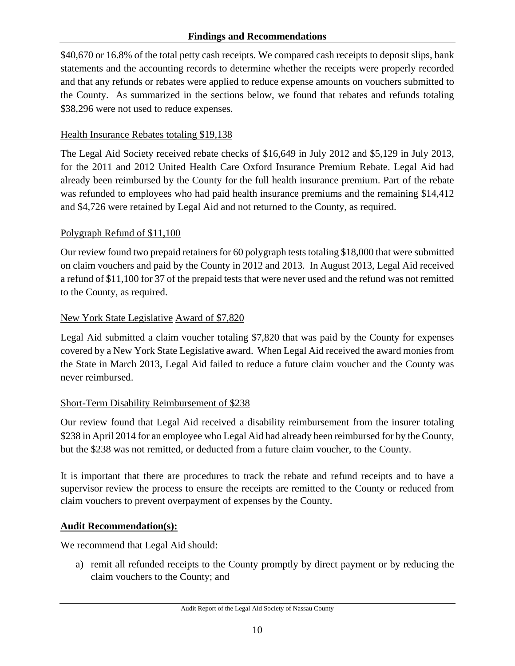#### **Findings and Recommendations**

\$40,670 or 16.8% of the total petty cash receipts. We compared cash receipts to deposit slips, bank statements and the accounting records to determine whether the receipts were properly recorded and that any refunds or rebates were applied to reduce expense amounts on vouchers submitted to the County. As summarized in the sections below, we found that rebates and refunds totaling \$38,296 were not used to reduce expenses.

#### Health Insurance Rebates totaling \$19,138

The Legal Aid Society received rebate checks of \$16,649 in July 2012 and \$5,129 in July 2013, for the 2011 and 2012 United Health Care Oxford Insurance Premium Rebate. Legal Aid had already been reimbursed by the County for the full health insurance premium. Part of the rebate was refunded to employees who had paid health insurance premiums and the remaining \$14,412 and \$4,726 were retained by Legal Aid and not returned to the County, as required.

#### Polygraph Refund of \$11,100

Our review found two prepaid retainers for 60 polygraph tests totaling \$18,000 that were submitted on claim vouchers and paid by the County in 2012 and 2013. In August 2013, Legal Aid received a refund of \$11,100 for 37 of the prepaid tests that were never used and the refund was not remitted to the County, as required.

### New York State Legislative Award of \$7,820

Legal Aid submitted a claim voucher totaling \$7,820 that was paid by the County for expenses covered by a New York State Legislative award. When Legal Aid received the award monies from the State in March 2013, Legal Aid failed to reduce a future claim voucher and the County was never reimbursed.

#### Short-Term Disability Reimbursement of \$238

Our review found that Legal Aid received a disability reimbursement from the insurer totaling \$238 in April 2014 for an employee who Legal Aid had already been reimbursed for by the County, but the \$238 was not remitted, or deducted from a future claim voucher, to the County.

It is important that there are procedures to track the rebate and refund receipts and to have a supervisor review the process to ensure the receipts are remitted to the County or reduced from claim vouchers to prevent overpayment of expenses by the County.

#### **Audit Recommendation(s):**

We recommend that Legal Aid should:

a) remit all refunded receipts to the County promptly by direct payment or by reducing the claim vouchers to the County; and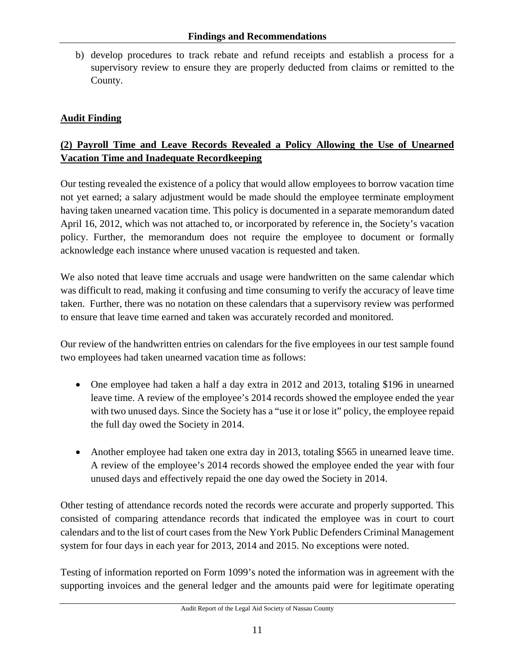b) develop procedures to track rebate and refund receipts and establish a process for a supervisory review to ensure they are properly deducted from claims or remitted to the County.

## **Audit Finding**

## **(2) Payroll Time and Leave Records Revealed a Policy Allowing the Use of Unearned Vacation Time and Inadequate Recordkeeping**

Our testing revealed the existence of a policy that would allow employees to borrow vacation time not yet earned; a salary adjustment would be made should the employee terminate employment having taken unearned vacation time. This policy is documented in a separate memorandum dated April 16, 2012, which was not attached to, or incorporated by reference in, the Society's vacation policy. Further, the memorandum does not require the employee to document or formally acknowledge each instance where unused vacation is requested and taken.

We also noted that leave time accruals and usage were handwritten on the same calendar which was difficult to read, making it confusing and time consuming to verify the accuracy of leave time taken. Further, there was no notation on these calendars that a supervisory review was performed to ensure that leave time earned and taken was accurately recorded and monitored.

Our review of the handwritten entries on calendars for the five employees in our test sample found two employees had taken unearned vacation time as follows:

- One employee had taken a half a day extra in 2012 and 2013, totaling \$196 in unearned leave time. A review of the employee's 2014 records showed the employee ended the year with two unused days. Since the Society has a "use it or lose it" policy, the employee repaid the full day owed the Society in 2014.
- Another employee had taken one extra day in 2013, totaling \$565 in unearned leave time. A review of the employee's 2014 records showed the employee ended the year with four unused days and effectively repaid the one day owed the Society in 2014.

Other testing of attendance records noted the records were accurate and properly supported. This consisted of comparing attendance records that indicated the employee was in court to court calendars and to the list of court cases from the New York Public Defenders Criminal Management system for four days in each year for 2013, 2014 and 2015. No exceptions were noted.

Testing of information reported on Form 1099's noted the information was in agreement with the supporting invoices and the general ledger and the amounts paid were for legitimate operating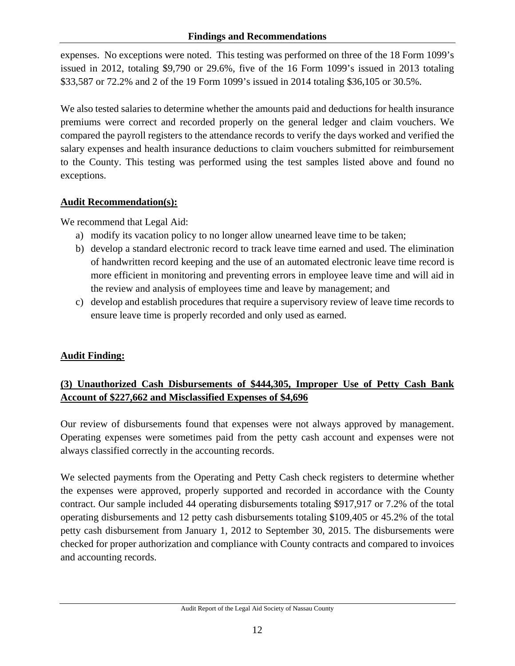expenses. No exceptions were noted. This testing was performed on three of the 18 Form 1099's issued in 2012, totaling \$9,790 or 29.6%, five of the 16 Form 1099's issued in 2013 totaling \$33,587 or 72.2% and 2 of the 19 Form 1099's issued in 2014 totaling \$36,105 or 30.5%.

We also tested salaries to determine whether the amounts paid and deductions for health insurance premiums were correct and recorded properly on the general ledger and claim vouchers. We compared the payroll registers to the attendance records to verify the days worked and verified the salary expenses and health insurance deductions to claim vouchers submitted for reimbursement to the County. This testing was performed using the test samples listed above and found no exceptions.

## **Audit Recommendation(s):**

We recommend that Legal Aid:

- a) modify its vacation policy to no longer allow unearned leave time to be taken;
- b) develop a standard electronic record to track leave time earned and used. The elimination of handwritten record keeping and the use of an automated electronic leave time record is more efficient in monitoring and preventing errors in employee leave time and will aid in the review and analysis of employees time and leave by management; and
- c) develop and establish procedures that require a supervisory review of leave time records to ensure leave time is properly recorded and only used as earned.

# **Audit Finding:**

# **(3) Unauthorized Cash Disbursements of \$444,305, Improper Use of Petty Cash Bank Account of \$227,662 and Misclassified Expenses of \$4,696**

Our review of disbursements found that expenses were not always approved by management. Operating expenses were sometimes paid from the petty cash account and expenses were not always classified correctly in the accounting records.

We selected payments from the Operating and Petty Cash check registers to determine whether the expenses were approved, properly supported and recorded in accordance with the County contract. Our sample included 44 operating disbursements totaling \$917,917 or 7.2% of the total operating disbursements and 12 petty cash disbursements totaling \$109,405 or 45.2% of the total petty cash disbursement from January 1, 2012 to September 30, 2015. The disbursements were checked for proper authorization and compliance with County contracts and compared to invoices and accounting records.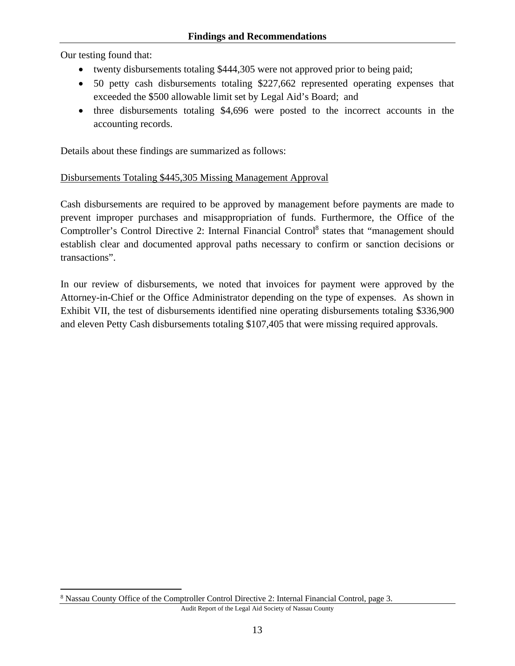Our testing found that:

 $\overline{a}$ 

- twenty disbursements totaling \$444,305 were not approved prior to being paid;
- 50 petty cash disbursements totaling \$227,662 represented operating expenses that exceeded the \$500 allowable limit set by Legal Aid's Board; and
- three disbursements totaling \$4,696 were posted to the incorrect accounts in the accounting records.

Details about these findings are summarized as follows:

### Disbursements Totaling \$445,305 Missing Management Approval

Cash disbursements are required to be approved by management before payments are made to prevent improper purchases and misappropriation of funds. Furthermore, the Office of the Comptroller's Control Directive 2: Internal Financial Control<sup>8</sup> states that "management should establish clear and documented approval paths necessary to confirm or sanction decisions or transactions".

In our review of disbursements, we noted that invoices for payment were approved by the Attorney-in-Chief or the Office Administrator depending on the type of expenses. As shown in Exhibit VII, the test of disbursements identified nine operating disbursements totaling \$336,900 and eleven Petty Cash disbursements totaling \$107,405 that were missing required approvals.

<sup>&</sup>lt;sup>8</sup> Nassau County Office of the Comptroller Control Directive 2: Internal Financial Control, page 3.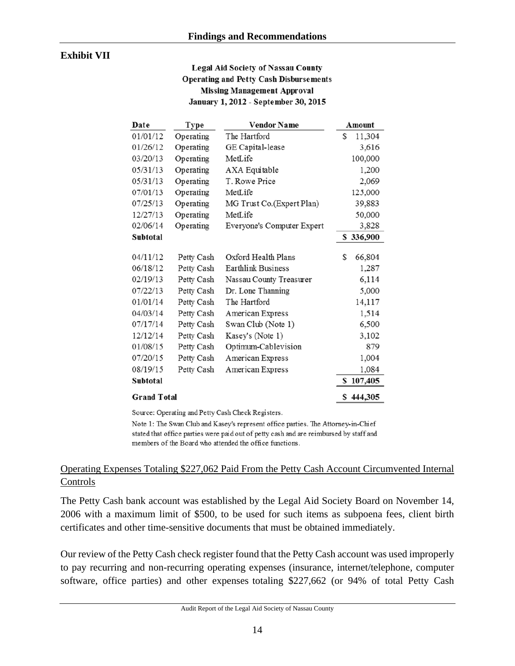#### **Exhibit VII**

#### **Legal Aid Society of Nassau County Operating and Petty Cash Disbursements Missing Management Approval** January 1, 2012 - September 30, 2015

| Date               | Type       | <b>Vendor Name</b><br>Amount |              |
|--------------------|------------|------------------------------|--------------|
| 01/01/12           | Operating  | The Hartford                 | 11,304<br>S  |
| 01/26/12           | Operating  | GE Capital-lease             | 3,616        |
| 03/20/13           | Operating  | MetLife                      | 100,000      |
| 05/31/13           | Operating  | AXA Equitable                | 1,200        |
| 05/31/13           | Operating  | T. Rowe Price                | 2,069        |
| 07/01/13           | Operating  | MetLife                      | 125,000      |
| 07/25/13           | Operating  | MG Trust Co. (Expert Plan)   | 39,883       |
| 12/27/13           | Operating  | MetLife                      | 50,000       |
| 02/06/14           | Operating  | Everyone's Computer Expert   | 3,828        |
| Subtotal           |            |                              | \$336,900    |
| 04/11/12           | Petty Cash | Oxford Health Plans          | S<br>66,804  |
| 06/18/12           | Petty Cash | Earthlink Business           | 1,287        |
| 02/19/13           | Petty Cash | Nassau County Treasurer      | 6,114        |
| 07/22/13           | Petty Cash | Dr. Lone Thanning            | 5,000        |
| 01/01/14           | Petty Cash | The Hartford                 | 14,117       |
| 04/03/14           | Petty Cash | American Express             | 1,514        |
| 07/17/14           | Petty Cash | Swan Club (Note 1)           | 6,500        |
| 12/12/14           | Petty Cash | Kasey's (Note 1)             | 3,102        |
| 01/08/15           | Petty Cash | Optimum-Cablevision          | 879          |
| 07/20/15           | Petty Cash | American Express             | 1,004        |
| 08/19/15           | Petty Cash | American Express             | 1,084        |
| Subtotal           |            |                              | 107,405<br>S |
| <b>Grand Total</b> |            |                              | \$444,305    |

Source: Operating and Petty Cash Check Registers.

Note 1: The Swan Club and Kasey's represent office parties. The Attorney-in-Chief stated that office parties were paid out of petty cash and are reimbursed by staff and members of the Board who attended the office functions.

#### Operating Expenses Totaling \$227,062 Paid From the Petty Cash Account Circumvented Internal Controls

The Petty Cash bank account was established by the Legal Aid Society Board on November 14, 2006 with a maximum limit of \$500, to be used for such items as subpoena fees, client birth certificates and other time-sensitive documents that must be obtained immediately.

Our review of the Petty Cash check register found that the Petty Cash account was used improperly to pay recurring and non-recurring operating expenses (insurance, internet/telephone, computer software, office parties) and other expenses totaling \$227,662 (or 94% of total Petty Cash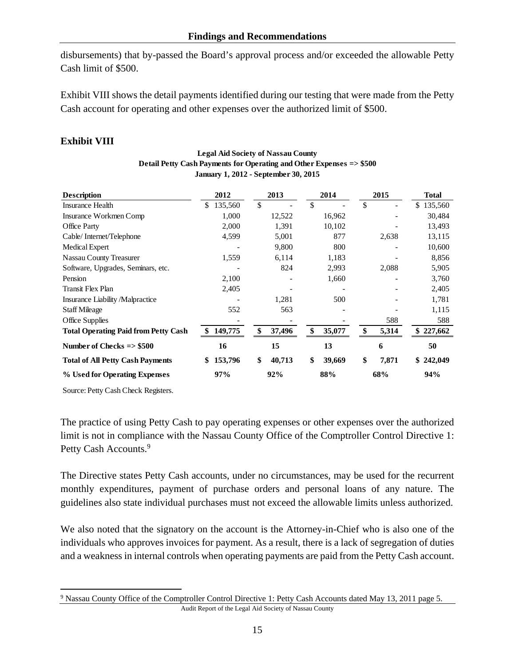disbursements) that by-passed the Board's approval process and/or exceeded the allowable Petty Cash limit of \$500.

Exhibit VIII shows the detail payments identified during our testing that were made from the Petty Cash account for operating and other expenses over the authorized limit of \$500.

## **Exhibit VIII**

| <b>Description</b>                          | 2012          | 2013          | 2014          | 2015         | <b>Total</b>  |
|---------------------------------------------|---------------|---------------|---------------|--------------|---------------|
| <b>Insurance Health</b>                     | \$<br>135,560 | $\mathcal{S}$ | <sup>\$</sup> | $\mathbb{S}$ | 135,560<br>\$ |
| Insurance Workmen Comp                      | 1,000         | 12,522        | 16,962        |              | 30,484        |
| Office Party                                | 2,000         | 1,391         | 10,102        |              | 13,493        |
| Cable/Internet/Telephone                    | 4,599         | 5,001         | 877           | 2,638        | 13,115        |
| Medical Expert                              |               | 9,800         | 800           |              | 10,600        |
| <b>Nassau County Treasurer</b>              | 1,559         | 6,114         | 1,183         |              | 8,856         |
| Software, Upgrades, Seminars, etc.          |               | 824           | 2,993         | 2,088        | 5,905         |
| Pension                                     | 2,100         |               | 1,660         |              | 3,760         |
| <b>Transit Flex Plan</b>                    | 2,405         |               |               |              | 2,405         |
| Insurance Liability/Malpractice             |               | 1,281         | 500           |              | 1,781         |
| <b>Staff Mileage</b>                        | 552           | 563           |               |              | 1,115         |
| Office Supplies                             |               |               |               | 588          | 588           |
| <b>Total Operating Paid from Petty Cash</b> | 149,775<br>\$ | \$<br>37,496  | \$<br>35,077  | \$<br>5,314  | 227,662       |
| Number of Checks $\Rightarrow$ \$500        | 16            | 15            | 13            | 6            | 50            |
| <b>Total of All Petty Cash Payments</b>     | 153,796<br>\$ | \$<br>40,713  | \$<br>39,669  | \$<br>7,871  | \$242,049     |
| % Used for Operating Expenses               | 97%           | 92%           | 88%           | 68%          | 94%           |

#### **Legal Aid Society of Nassau County Detail Petty Cash Payments for Operating and Other Expenses => \$500 January 1, 2012 - September 30, 2015**

Source: Petty Cash Check Registers.

 $\overline{a}$ 

The practice of using Petty Cash to pay operating expenses or other expenses over the authorized limit is not in compliance with the Nassau County Office of the Comptroller Control Directive 1: Petty Cash Accounts.<sup>9</sup>

The Directive states Petty Cash accounts, under no circumstances, may be used for the recurrent monthly expenditures, payment of purchase orders and personal loans of any nature. The guidelines also state individual purchases must not exceed the allowable limits unless authorized.

We also noted that the signatory on the account is the Attorney-in-Chief who is also one of the individuals who approves invoices for payment. As a result, there is a lack of segregation of duties and a weakness in internal controls when operating payments are paid from the Petty Cash account.

Audit Report of the Legal Aid Society of Nassau County <sup>9</sup> Nassau County Office of the Comptroller Control Directive 1: Petty Cash Accounts dated May 13, 2011 page 5.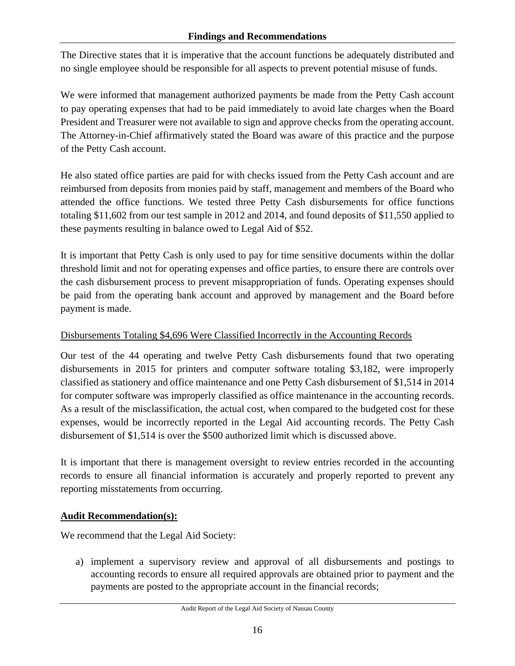#### **Findings and Recommendations**

The Directive states that it is imperative that the account functions be adequately distributed and no single employee should be responsible for all aspects to prevent potential misuse of funds.

We were informed that management authorized payments be made from the Petty Cash account to pay operating expenses that had to be paid immediately to avoid late charges when the Board President and Treasurer were not available to sign and approve checks from the operating account. The Attorney-in-Chief affirmatively stated the Board was aware of this practice and the purpose of the Petty Cash account.

He also stated office parties are paid for with checks issued from the Petty Cash account and are reimbursed from deposits from monies paid by staff, management and members of the Board who attended the office functions. We tested three Petty Cash disbursements for office functions totaling \$11,602 from our test sample in 2012 and 2014, and found deposits of \$11,550 applied to these payments resulting in balance owed to Legal Aid of \$52.

It is important that Petty Cash is only used to pay for time sensitive documents within the dollar threshold limit and not for operating expenses and office parties, to ensure there are controls over the cash disbursement process to prevent misappropriation of funds. Operating expenses should be paid from the operating bank account and approved by management and the Board before payment is made.

### Disbursements Totaling \$4,696 Were Classified Incorrectly in the Accounting Records

Our test of the 44 operating and twelve Petty Cash disbursements found that two operating disbursements in 2015 for printers and computer software totaling \$3,182, were improperly classified as stationery and office maintenance and one Petty Cash disbursement of \$1,514 in 2014 for computer software was improperly classified as office maintenance in the accounting records. As a result of the misclassification, the actual cost, when compared to the budgeted cost for these expenses, would be incorrectly reported in the Legal Aid accounting records. The Petty Cash disbursement of \$1,514 is over the \$500 authorized limit which is discussed above.

It is important that there is management oversight to review entries recorded in the accounting records to ensure all financial information is accurately and properly reported to prevent any reporting misstatements from occurring.

### **Audit Recommendation(s):**

We recommend that the Legal Aid Society:

a) implement a supervisory review and approval of all disbursements and postings to accounting records to ensure all required approvals are obtained prior to payment and the payments are posted to the appropriate account in the financial records;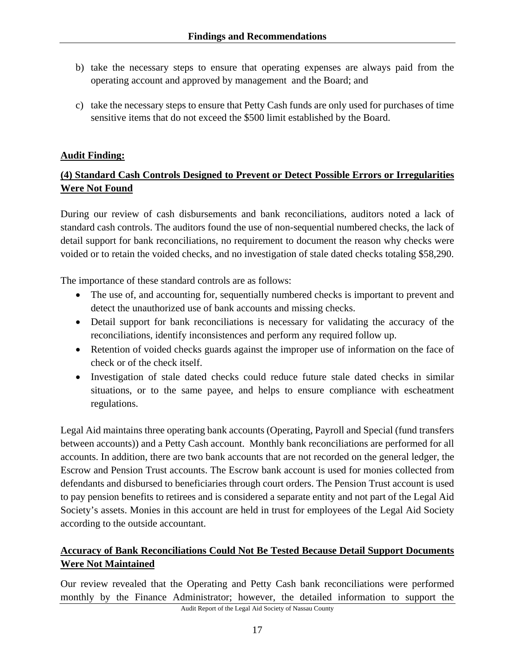- b) take the necessary steps to ensure that operating expenses are always paid from the operating account and approved by management and the Board; and
- c) take the necessary steps to ensure that Petty Cash funds are only used for purchases of time sensitive items that do not exceed the \$500 limit established by the Board.

### **Audit Finding:**

## **(4) Standard Cash Controls Designed to Prevent or Detect Possible Errors or Irregularities Were Not Found**

During our review of cash disbursements and bank reconciliations, auditors noted a lack of standard cash controls. The auditors found the use of non-sequential numbered checks, the lack of detail support for bank reconciliations, no requirement to document the reason why checks were voided or to retain the voided checks, and no investigation of stale dated checks totaling \$58,290.

The importance of these standard controls are as follows:

- The use of, and accounting for, sequentially numbered checks is important to prevent and detect the unauthorized use of bank accounts and missing checks.
- Detail support for bank reconciliations is necessary for validating the accuracy of the reconciliations, identify inconsistences and perform any required follow up.
- Retention of voided checks guards against the improper use of information on the face of check or of the check itself.
- Investigation of stale dated checks could reduce future stale dated checks in similar situations, or to the same payee, and helps to ensure compliance with escheatment regulations.

Legal Aid maintains three operating bank accounts (Operating, Payroll and Special (fund transfers between accounts)) and a Petty Cash account. Monthly bank reconciliations are performed for all accounts. In addition, there are two bank accounts that are not recorded on the general ledger, the Escrow and Pension Trust accounts. The Escrow bank account is used for monies collected from defendants and disbursed to beneficiaries through court orders. The Pension Trust account is used to pay pension benefits to retirees and is considered a separate entity and not part of the Legal Aid Society's assets. Monies in this account are held in trust for employees of the Legal Aid Society according to the outside accountant.

## **Accuracy of Bank Reconciliations Could Not Be Tested Because Detail Support Documents Were Not Maintained**

Audit Report of the Legal Aid Society of Nassau County Our review revealed that the Operating and Petty Cash bank reconciliations were performed monthly by the Finance Administrator; however, the detailed information to support the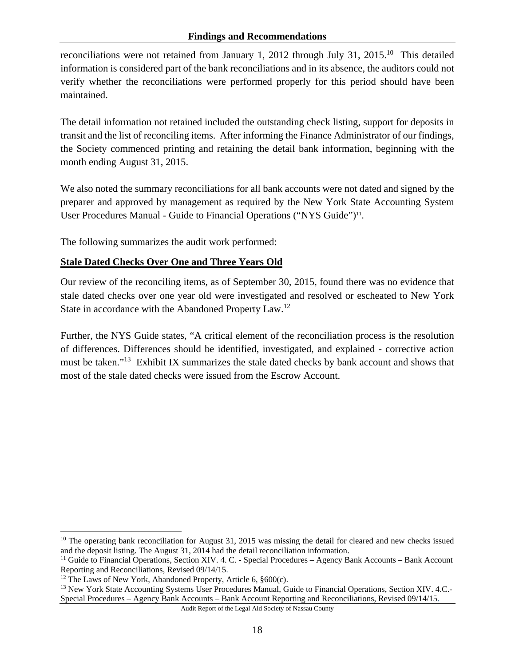reconciliations were not retained from January 1, 2012 through July 31, 2015.<sup>10</sup> This detailed information is considered part of the bank reconciliations and in its absence, the auditors could not verify whether the reconciliations were performed properly for this period should have been maintained.

The detail information not retained included the outstanding check listing, support for deposits in transit and the list of reconciling items. After informing the Finance Administrator of our findings, the Society commenced printing and retaining the detail bank information, beginning with the month ending August 31, 2015.

We also noted the summary reconciliations for all bank accounts were not dated and signed by the preparer and approved by management as required by the New York State Accounting System User Procedures Manual - Guide to Financial Operations ("NYS Guide")<sup>11</sup>.

The following summarizes the audit work performed:

### **Stale Dated Checks Over One and Three Years Old**

Our review of the reconciling items, as of September 30, 2015, found there was no evidence that stale dated checks over one year old were investigated and resolved or escheated to New York State in accordance with the Abandoned Property Law.12

Further, the NYS Guide states, "A critical element of the reconciliation process is the resolution of differences. Differences should be identified, investigated, and explained - corrective action must be taken."13 Exhibit IX summarizes the stale dated checks by bank account and shows that most of the stale dated checks were issued from the Escrow Account.

 $\overline{a}$ 

 $10$  The operating bank reconciliation for August 31, 2015 was missing the detail for cleared and new checks issued and the deposit listing. The August 31, 2014 had the detail reconciliation information.

<sup>&</sup>lt;sup>11</sup> Guide to Financial Operations, Section XIV. 4. C. - Special Procedures – Agency Bank Accounts – Bank Account Reporting and Reconciliations, Revised  $09/14/15$ .

<sup>&</sup>lt;sup>12</sup> The Laws of New York, Abandoned Property, Article 6,  $§600(c)$ .

<sup>&</sup>lt;sup>13</sup> New York State Accounting Systems User Procedures Manual, Guide to Financial Operations, Section XIV. 4.C.-Special Procedures – Agency Bank Accounts – Bank Account Reporting and Reconciliations, Revised 09/14/15.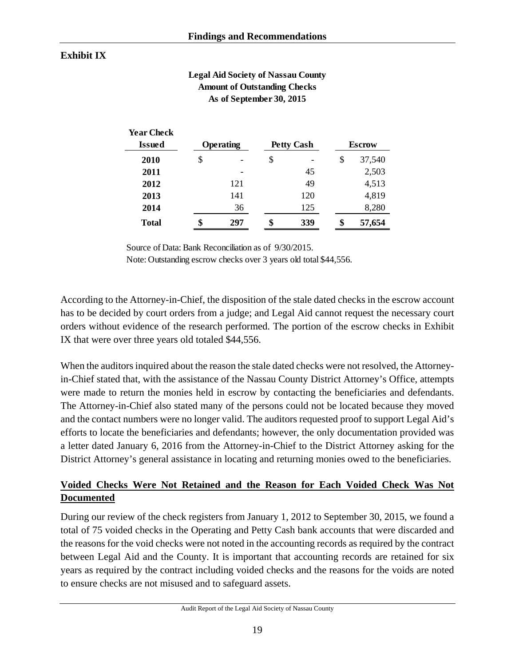## **Exhibit IX**

**Year Check**

#### **Legal Aid Society of Nassau County Amount of Outstanding Checks As of September 30, 2015**

| Teal Chech<br><b>Issued</b> | <b>Operating</b> |    | <b>Petty Cash</b> | <b>Escrow</b> |
|-----------------------------|------------------|----|-------------------|---------------|
| <b>2010</b>                 | \$               | \$ | $\overline{a}$    | \$<br>37,540  |
| 2011                        |                  |    | 45                | 2,503         |
| 2012                        | 121              |    | 49                | 4,513         |
| 2013                        | 141              |    | 120               | 4,819         |
| 2014                        | 36               |    | 125               | 8,280         |
| <b>Total</b>                | 297              | ٠D | 339               | \$<br>57,654  |

Source of Data: Bank Reconciliation as of 9/30/2015.

Note: Outstanding escrow checks over 3 years old total \$44,556.

According to the Attorney-in-Chief, the disposition of the stale dated checks in the escrow account has to be decided by court orders from a judge; and Legal Aid cannot request the necessary court orders without evidence of the research performed. The portion of the escrow checks in Exhibit IX that were over three years old totaled \$44,556.

When the auditors inquired about the reason the stale dated checks were not resolved, the Attorneyin-Chief stated that, with the assistance of the Nassau County District Attorney's Office, attempts were made to return the monies held in escrow by contacting the beneficiaries and defendants. The Attorney-in-Chief also stated many of the persons could not be located because they moved and the contact numbers were no longer valid. The auditors requested proof to support Legal Aid's efforts to locate the beneficiaries and defendants; however, the only documentation provided was a letter dated January 6, 2016 from the Attorney-in-Chief to the District Attorney asking for the District Attorney's general assistance in locating and returning monies owed to the beneficiaries.

## **Voided Checks Were Not Retained and the Reason for Each Voided Check Was Not Documented**

During our review of the check registers from January 1, 2012 to September 30, 2015, we found a total of 75 voided checks in the Operating and Petty Cash bank accounts that were discarded and the reasons for the void checks were not noted in the accounting records as required by the contract between Legal Aid and the County. It is important that accounting records are retained for six years as required by the contract including voided checks and the reasons for the voids are noted to ensure checks are not misused and to safeguard assets.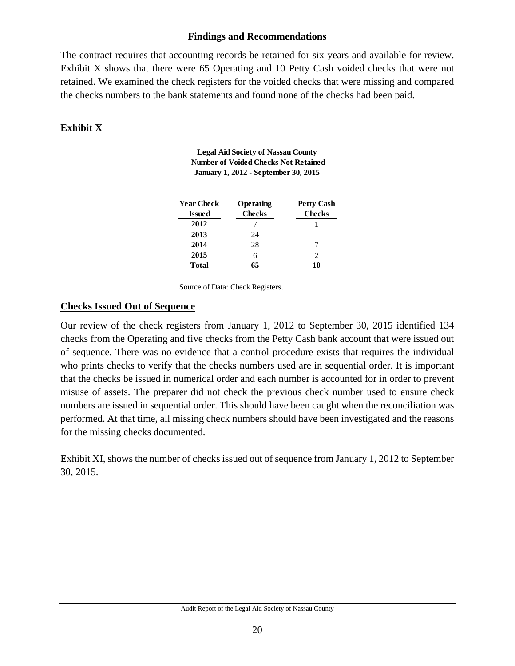The contract requires that accounting records be retained for six years and available for review. Exhibit X shows that there were 65 Operating and 10 Petty Cash voided checks that were not retained. We examined the check registers for the voided checks that were missing and compared the checks numbers to the bank statements and found none of the checks had been paid.

### **Exhibit X**

**Legal Aid Society of Nassau County Number of Voided Checks Not Retained January 1, 2012 - September 30, 2015**

| Year Check    | Operating     | <b>Petty Cash</b> |
|---------------|---------------|-------------------|
| <b>Issued</b> | <b>Checks</b> | <b>Checks</b>     |
| 2012          |               |                   |
| 2013          | 24            |                   |
| 2014          | 28            |                   |
| 2015          | 6             |                   |
| Total         | 65            | 10                |

Source of Data: Check Registers.

#### **Checks Issued Out of Sequence**

Our review of the check registers from January 1, 2012 to September 30, 2015 identified 134 checks from the Operating and five checks from the Petty Cash bank account that were issued out of sequence. There was no evidence that a control procedure exists that requires the individual who prints checks to verify that the checks numbers used are in sequential order. It is important that the checks be issued in numerical order and each number is accounted for in order to prevent misuse of assets. The preparer did not check the previous check number used to ensure check numbers are issued in sequential order. This should have been caught when the reconciliation was performed. At that time, all missing check numbers should have been investigated and the reasons for the missing checks documented.

Exhibit XI, shows the number of checks issued out of sequence from January 1, 2012 to September 30, 2015.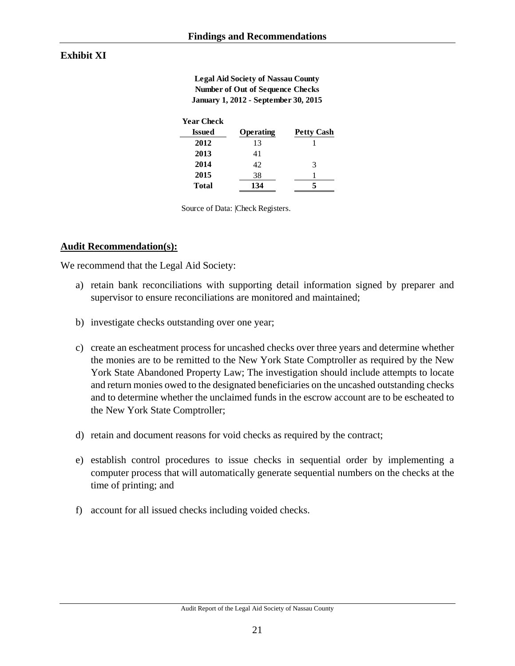### **Exhibit XI**

**Legal Aid Society of Nassau County Number of Out of Sequence Checks January 1, 2012 - September 30, 2015** 

| Year Check   |           |                   |
|--------------|-----------|-------------------|
| Issued       | Operating | <b>Petty Cash</b> |
| 2012         | 13        |                   |
| 2013         | 41        |                   |
| 2014         | 42        | 3                 |
| 2015         | 38        |                   |
| <b>Total</b> | 134       |                   |

Source of Data: |Check Registers.

#### **Audit Recommendation(s):**

We recommend that the Legal Aid Society:

- a) retain bank reconciliations with supporting detail information signed by preparer and supervisor to ensure reconciliations are monitored and maintained;
- b) investigate checks outstanding over one year;
- c) create an escheatment process for uncashed checks over three years and determine whether the monies are to be remitted to the New York State Comptroller as required by the New York State Abandoned Property Law; The investigation should include attempts to locate and return monies owed to the designated beneficiaries on the uncashed outstanding checks and to determine whether the unclaimed funds in the escrow account are to be escheated to the New York State Comptroller;
- d) retain and document reasons for void checks as required by the contract;
- e) establish control procedures to issue checks in sequential order by implementing a computer process that will automatically generate sequential numbers on the checks at the time of printing; and
- f) account for all issued checks including voided checks.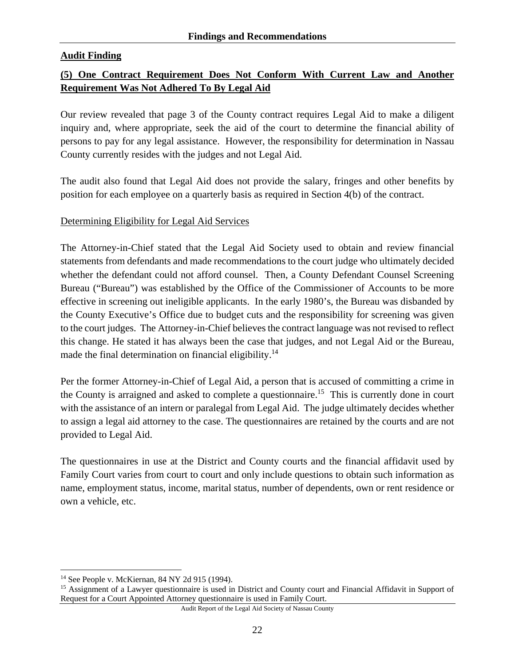### **Audit Finding**

### **(5) One Contract Requirement Does Not Conform With Current Law and Another Requirement Was Not Adhered To By Legal Aid**

Our review revealed that page 3 of the County contract requires Legal Aid to make a diligent inquiry and, where appropriate, seek the aid of the court to determine the financial ability of persons to pay for any legal assistance. However, the responsibility for determination in Nassau County currently resides with the judges and not Legal Aid.

The audit also found that Legal Aid does not provide the salary, fringes and other benefits by position for each employee on a quarterly basis as required in Section 4(b) of the contract.

#### Determining Eligibility for Legal Aid Services

The Attorney-in-Chief stated that the Legal Aid Society used to obtain and review financial statements from defendants and made recommendations to the court judge who ultimately decided whether the defendant could not afford counsel. Then, a County Defendant Counsel Screening Bureau ("Bureau") was established by the Office of the Commissioner of Accounts to be more effective in screening out ineligible applicants. In the early 1980's, the Bureau was disbanded by the County Executive's Office due to budget cuts and the responsibility for screening was given to the court judges. The Attorney-in-Chief believes the contract language was not revised to reflect this change. He stated it has always been the case that judges, and not Legal Aid or the Bureau, made the final determination on financial eligibility.<sup>14</sup>

Per the former Attorney-in-Chief of Legal Aid, a person that is accused of committing a crime in the County is arraigned and asked to complete a questionnaire.15 This is currently done in court with the assistance of an intern or paralegal from Legal Aid. The judge ultimately decides whether to assign a legal aid attorney to the case. The questionnaires are retained by the courts and are not provided to Legal Aid.

The questionnaires in use at the District and County courts and the financial affidavit used by Family Court varies from court to court and only include questions to obtain such information as name, employment status, income, marital status, number of dependents, own or rent residence or own a vehicle, etc.

 $\overline{a}$ 

<sup>14</sup> See People v. McKiernan, 84 NY 2d 915 (1994).

<sup>&</sup>lt;sup>15</sup> Assignment of a Lawyer questionnaire is used in District and County court and Financial Affidavit in Support of Request for a Court Appointed Attorney questionnaire is used in Family Court.

Audit Report of the Legal Aid Society of Nassau County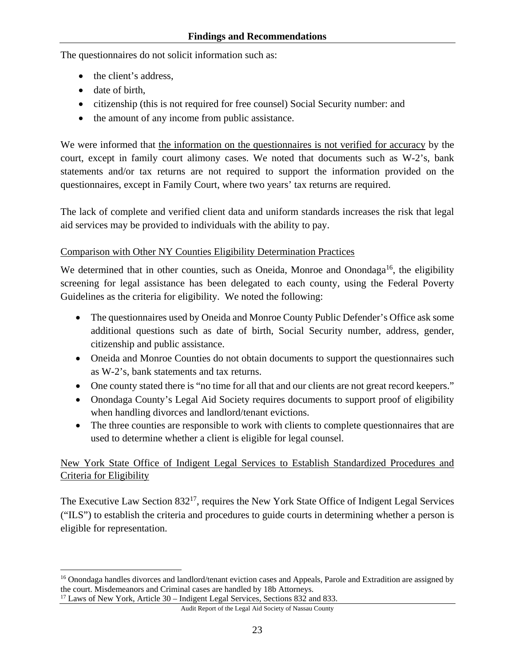The questionnaires do not solicit information such as:

- the client's address,
- date of birth,
- citizenship (this is not required for free counsel) Social Security number: and
- the amount of any income from public assistance.

We were informed that the information on the questionnaires is not verified for accuracy by the court, except in family court alimony cases. We noted that documents such as W-2's, bank statements and/or tax returns are not required to support the information provided on the questionnaires, except in Family Court, where two years' tax returns are required.

The lack of complete and verified client data and uniform standards increases the risk that legal aid services may be provided to individuals with the ability to pay.

### Comparison with Other NY Counties Eligibility Determination Practices

We determined that in other counties, such as Oneida, Monroe and Onondaga<sup>16</sup>, the eligibility screening for legal assistance has been delegated to each county, using the Federal Poverty Guidelines as the criteria for eligibility. We noted the following:

- The questionnaires used by Oneida and Monroe County Public Defender's Office ask some additional questions such as date of birth, Social Security number, address, gender, citizenship and public assistance.
- Oneida and Monroe Counties do not obtain documents to support the questionnaires such as W-2's, bank statements and tax returns.
- One county stated there is "no time for all that and our clients are not great record keepers."
- Onondaga County's Legal Aid Society requires documents to support proof of eligibility when handling divorces and landlord/tenant evictions.
- The three counties are responsible to work with clients to complete questionnaires that are used to determine whether a client is eligible for legal counsel.

## New York State Office of Indigent Legal Services to Establish Standardized Procedures and Criteria for Eligibility

The Executive Law Section 832<sup>17</sup>, requires the New York State Office of Indigent Legal Services ("ILS") to establish the criteria and procedures to guide courts in determining whether a person is eligible for representation.

<sup>1</sup> <sup>16</sup> Onondaga handles divorces and landlord/tenant eviction cases and Appeals, Parole and Extradition are assigned by the court. Misdemeanors and Criminal cases are handled by 18b Attorneys. 17 Laws of New York, Article 30 – Indigent Legal Services, Sections 832 and 833.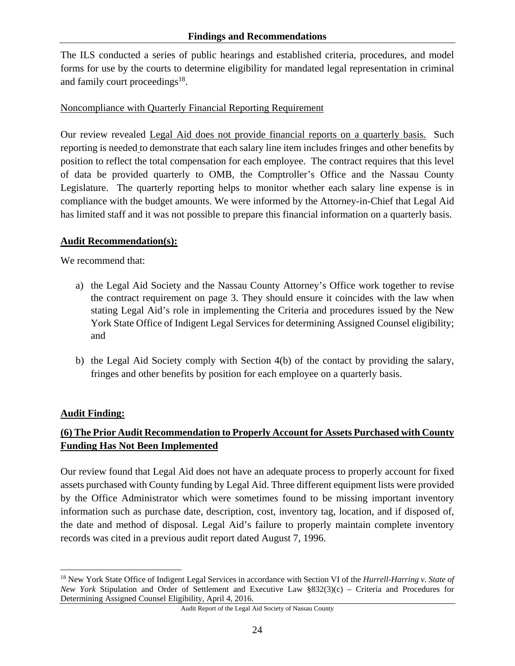The ILS conducted a series of public hearings and established criteria, procedures, and model forms for use by the courts to determine eligibility for mandated legal representation in criminal and family court proceedings $18$ .

### Noncompliance with Quarterly Financial Reporting Requirement

Our review revealed Legal Aid does not provide financial reports on a quarterly basis. Such reporting is needed to demonstrate that each salary line item includes fringes and other benefits by position to reflect the total compensation for each employee. The contract requires that this level of data be provided quarterly to OMB, the Comptroller's Office and the Nassau County Legislature. The quarterly reporting helps to monitor whether each salary line expense is in compliance with the budget amounts. We were informed by the Attorney-in-Chief that Legal Aid has limited staff and it was not possible to prepare this financial information on a quarterly basis.

#### **Audit Recommendation(s):**

We recommend that:

- a) the Legal Aid Society and the Nassau County Attorney's Office work together to revise the contract requirement on page 3. They should ensure it coincides with the law when stating Legal Aid's role in implementing the Criteria and procedures issued by the New York State Office of Indigent Legal Services for determining Assigned Counsel eligibility; and
- b) the Legal Aid Society comply with Section 4(b) of the contact by providing the salary, fringes and other benefits by position for each employee on a quarterly basis.

### **Audit Finding:**

## **(6) The Prior Audit Recommendation to Properly Account for Assets Purchased with County Funding Has Not Been Implemented**

Our review found that Legal Aid does not have an adequate process to properly account for fixed assets purchased with County funding by Legal Aid. Three different equipment lists were provided by the Office Administrator which were sometimes found to be missing important inventory information such as purchase date, description, cost, inventory tag, location, and if disposed of, the date and method of disposal. Legal Aid's failure to properly maintain complete inventory records was cited in a previous audit report dated August 7, 1996.

 $\overline{a}$ 18 New York State Office of Indigent Legal Services in accordance with Section VI of the *Hurrell-Harring v. State of New York* Stipulation and Order of Settlement and Executive Law §832(3)(c) – Criteria and Procedures for Determining Assigned Counsel Eligibility, April 4, 2016.

Audit Report of the Legal Aid Society of Nassau County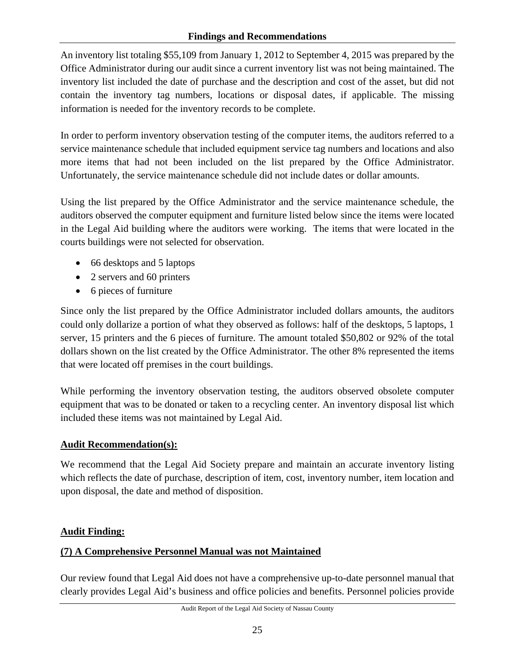An inventory list totaling \$55,109 from January 1, 2012 to September 4, 2015 was prepared by the Office Administrator during our audit since a current inventory list was not being maintained. The inventory list included the date of purchase and the description and cost of the asset, but did not contain the inventory tag numbers, locations or disposal dates, if applicable. The missing information is needed for the inventory records to be complete.

In order to perform inventory observation testing of the computer items, the auditors referred to a service maintenance schedule that included equipment service tag numbers and locations and also more items that had not been included on the list prepared by the Office Administrator. Unfortunately, the service maintenance schedule did not include dates or dollar amounts.

Using the list prepared by the Office Administrator and the service maintenance schedule, the auditors observed the computer equipment and furniture listed below since the items were located in the Legal Aid building where the auditors were working. The items that were located in the courts buildings were not selected for observation.

- 66 desktops and 5 laptops
- 2 servers and 60 printers
- 6 pieces of furniture

Since only the list prepared by the Office Administrator included dollars amounts, the auditors could only dollarize a portion of what they observed as follows: half of the desktops, 5 laptops, 1 server, 15 printers and the 6 pieces of furniture. The amount totaled \$50,802 or 92% of the total dollars shown on the list created by the Office Administrator. The other 8% represented the items that were located off premises in the court buildings.

While performing the inventory observation testing, the auditors observed obsolete computer equipment that was to be donated or taken to a recycling center. An inventory disposal list which included these items was not maintained by Legal Aid.

# **Audit Recommendation(s):**

We recommend that the Legal Aid Society prepare and maintain an accurate inventory listing which reflects the date of purchase, description of item, cost, inventory number, item location and upon disposal, the date and method of disposition.

# **Audit Finding:**

# **(7) A Comprehensive Personnel Manual was not Maintained**

Our review found that Legal Aid does not have a comprehensive up-to-date personnel manual that clearly provides Legal Aid's business and office policies and benefits. Personnel policies provide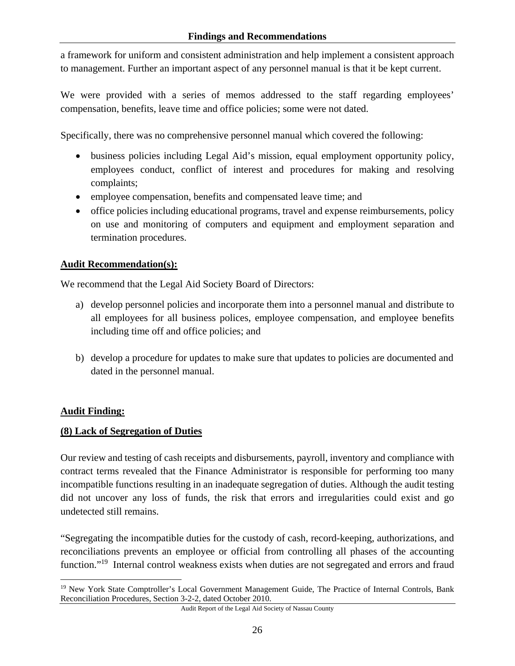a framework for uniform and consistent administration and help implement a consistent approach to management. Further an important aspect of any personnel manual is that it be kept current.

We were provided with a series of memos addressed to the staff regarding employees' compensation, benefits, leave time and office policies; some were not dated.

Specifically, there was no comprehensive personnel manual which covered the following:

- business policies including Legal Aid's mission, equal employment opportunity policy, employees conduct, conflict of interest and procedures for making and resolving complaints;
- employee compensation, benefits and compensated leave time; and
- office policies including educational programs, travel and expense reimbursements, policy on use and monitoring of computers and equipment and employment separation and termination procedures.

### **Audit Recommendation(s):**

We recommend that the Legal Aid Society Board of Directors:

- a) develop personnel policies and incorporate them into a personnel manual and distribute to all employees for all business polices, employee compensation, and employee benefits including time off and office policies; and
- b) develop a procedure for updates to make sure that updates to policies are documented and dated in the personnel manual.

### **Audit Finding:**

#### **(8) Lack of Segregation of Duties**

Our review and testing of cash receipts and disbursements, payroll, inventory and compliance with contract terms revealed that the Finance Administrator is responsible for performing too many incompatible functions resulting in an inadequate segregation of duties. Although the audit testing did not uncover any loss of funds, the risk that errors and irregularities could exist and go undetected still remains.

"Segregating the incompatible duties for the custody of cash, record-keeping, authorizations, and reconciliations prevents an employee or official from controlling all phases of the accounting function."<sup>19</sup> Internal control weakness exists when duties are not segregated and errors and fraud

 $\overline{a}$ <sup>19</sup> New York State Comptroller's Local Government Management Guide, The Practice of Internal Controls, Bank Reconciliation Procedures, Section 3-2-2, dated October 2010.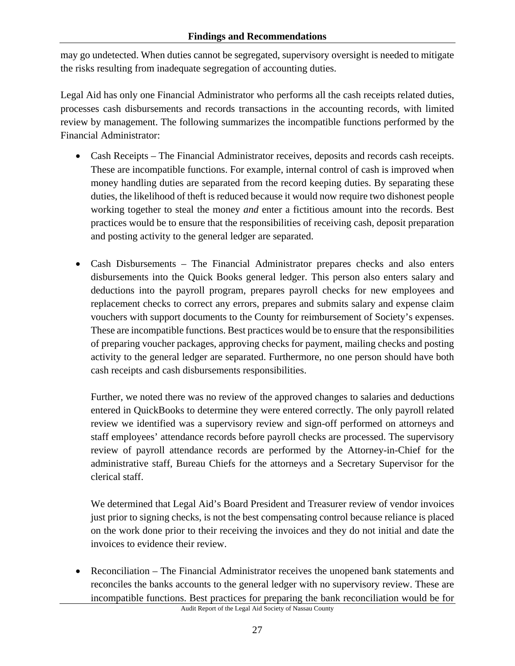may go undetected. When duties cannot be segregated, supervisory oversight is needed to mitigate the risks resulting from inadequate segregation of accounting duties.

Legal Aid has only one Financial Administrator who performs all the cash receipts related duties, processes cash disbursements and records transactions in the accounting records, with limited review by management. The following summarizes the incompatible functions performed by the Financial Administrator:

- Cash Receipts The Financial Administrator receives, deposits and records cash receipts. These are incompatible functions. For example, internal control of cash is improved when money handling duties are separated from the record keeping duties. By separating these duties, the likelihood of theft is reduced because it would now require two dishonest people working together to steal the money *and* enter a fictitious amount into the records. Best practices would be to ensure that the responsibilities of receiving cash, deposit preparation and posting activity to the general ledger are separated.
- Cash Disbursements The Financial Administrator prepares checks and also enters disbursements into the Quick Books general ledger. This person also enters salary and deductions into the payroll program, prepares payroll checks for new employees and replacement checks to correct any errors, prepares and submits salary and expense claim vouchers with support documents to the County for reimbursement of Society's expenses. These are incompatible functions. Best practices would be to ensure that the responsibilities of preparing voucher packages, approving checks for payment, mailing checks and posting activity to the general ledger are separated. Furthermore, no one person should have both cash receipts and cash disbursements responsibilities.

Further, we noted there was no review of the approved changes to salaries and deductions entered in QuickBooks to determine they were entered correctly. The only payroll related review we identified was a supervisory review and sign-off performed on attorneys and staff employees' attendance records before payroll checks are processed. The supervisory review of payroll attendance records are performed by the Attorney-in-Chief for the administrative staff, Bureau Chiefs for the attorneys and a Secretary Supervisor for the clerical staff.

We determined that Legal Aid's Board President and Treasurer review of vendor invoices just prior to signing checks, is not the best compensating control because reliance is placed on the work done prior to their receiving the invoices and they do not initial and date the invoices to evidence their review.

 Reconciliation – The Financial Administrator receives the unopened bank statements and reconciles the banks accounts to the general ledger with no supervisory review. These are incompatible functions. Best practices for preparing the bank reconciliation would be for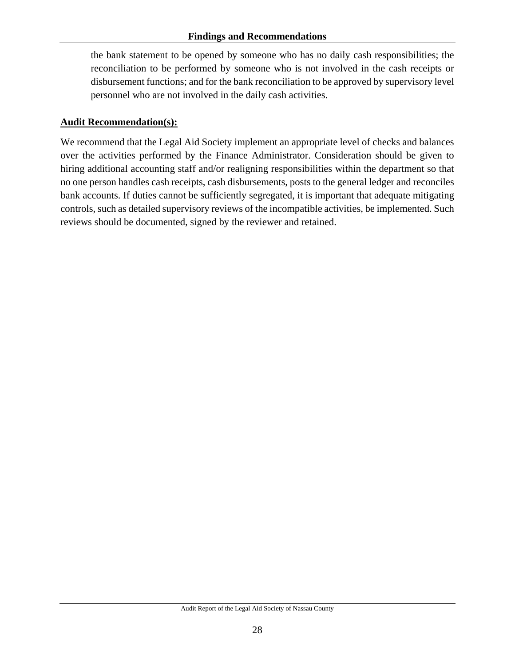the bank statement to be opened by someone who has no daily cash responsibilities; the reconciliation to be performed by someone who is not involved in the cash receipts or disbursement functions; and for the bank reconciliation to be approved by supervisory level personnel who are not involved in the daily cash activities.

### **Audit Recommendation(s):**

We recommend that the Legal Aid Society implement an appropriate level of checks and balances over the activities performed by the Finance Administrator. Consideration should be given to hiring additional accounting staff and/or realigning responsibilities within the department so that no one person handles cash receipts, cash disbursements, posts to the general ledger and reconciles bank accounts. If duties cannot be sufficiently segregated, it is important that adequate mitigating controls, such as detailed supervisory reviews of the incompatible activities, be implemented. Such reviews should be documented, signed by the reviewer and retained.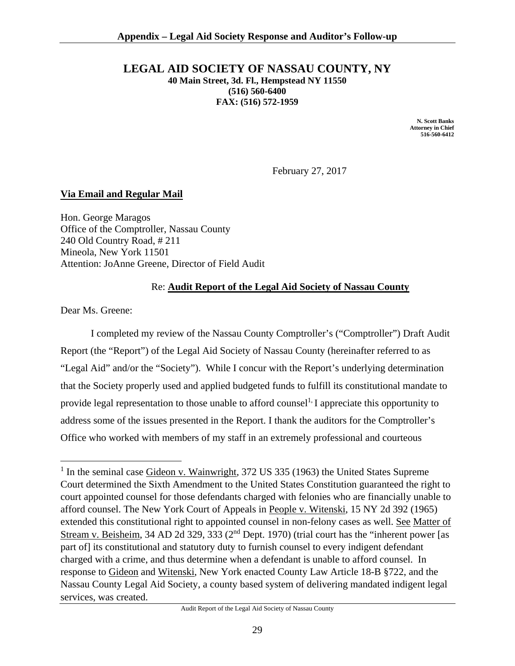#### **LEGAL AID SOCIETY OF NASSAU COUNTY, NY 40 Main Street, 3d. Fl., Hempstead NY 11550 (516) 560-6400 FAX: (516) 572-1959**

 **N. Scott Banks Attorney in Chief 516-560-6412**

February 27, 2017

#### **Via Email and Regular Mail**

Hon. George Maragos Office of the Comptroller, Nassau County 240 Old Country Road, # 211 Mineola, New York 11501 Attention: JoAnne Greene, Director of Field Audit

#### Re: **Audit Report of the Legal Aid Society of Nassau County**

Dear Ms. Greene:

 $\overline{a}$ 

 I completed my review of the Nassau County Comptroller's ("Comptroller") Draft Audit Report (the "Report") of the Legal Aid Society of Nassau County (hereinafter referred to as "Legal Aid" and/or the "Society"). While I concur with the Report's underlying determination that the Society properly used and applied budgeted funds to fulfill its constitutional mandate to provide legal representation to those unable to afford counsel<sup>1,</sup> I appreciate this opportunity to address some of the issues presented in the Report. I thank the auditors for the Comptroller's Office who worked with members of my staff in an extremely professional and courteous

<sup>&</sup>lt;sup>1</sup> In the seminal case Gideon v. Wainwright, 372 US 335 (1963) the United States Supreme Court determined the Sixth Amendment to the United States Constitution guaranteed the right to court appointed counsel for those defendants charged with felonies who are financially unable to afford counsel. The New York Court of Appeals in People v. Witenski, 15 NY 2d 392 (1965) extended this constitutional right to appointed counsel in non-felony cases as well. See Matter of Stream v. Beisheim, 34 AD 2d 329, 333 (2<sup>nd</sup> Dept. 1970) (trial court has the "inherent power [as part of] its constitutional and statutory duty to furnish counsel to every indigent defendant charged with a crime, and thus determine when a defendant is unable to afford counsel. In response to Gideon and Witenski, New York enacted County Law Article 18-B §722, and the Nassau County Legal Aid Society, a county based system of delivering mandated indigent legal services, was created.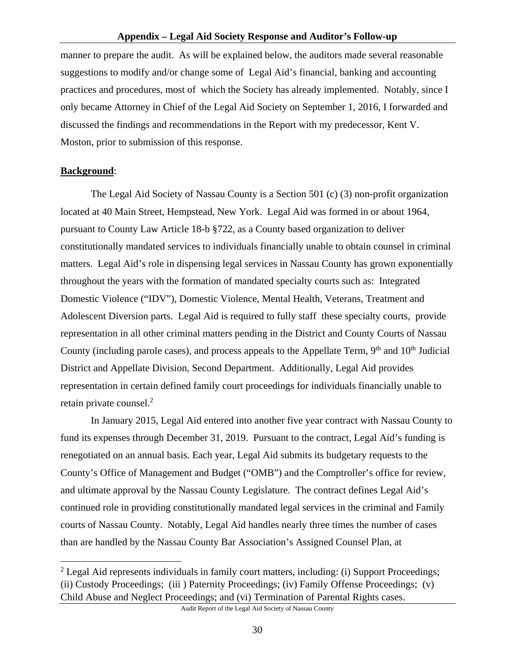manner to prepare the audit. As will be explained below, the auditors made several reasonable suggestions to modify and/or change some of Legal Aid's financial, banking and accounting practices and procedures, most of which the Society has already implemented. Notably, since I only became Attorney in Chief of the Legal Aid Society on September 1, 2016, I forwarded and discussed the findings and recommendations in the Report with my predecessor, Kent V. Moston, prior to submission of this response.

#### **Background**:

1

 The Legal Aid Society of Nassau County is a Section 501 (c) (3) non-profit organization located at 40 Main Street, Hempstead, New York. Legal Aid was formed in or about 1964, pursuant to County Law Article 18-b §722, as a County based organization to deliver constitutionally mandated services to individuals financially unable to obtain counsel in criminal matters. Legal Aid's role in dispensing legal services in Nassau County has grown exponentially throughout the years with the formation of mandated specialty courts such as: Integrated Domestic Violence ("IDV"), Domestic Violence, Mental Health, Veterans, Treatment and Adolescent Diversion parts. Legal Aid is required to fully staff these specialty courts, provide representation in all other criminal matters pending in the District and County Courts of Nassau County (including parole cases), and process appeals to the Appellate Term,  $9<sup>th</sup>$  and  $10<sup>th</sup>$  Judicial District and Appellate Division, Second Department. Additionally, Legal Aid provides representation in certain defined family court proceedings for individuals financially unable to retain private counsel.2

 In January 2015, Legal Aid entered into another five year contract with Nassau County to fund its expenses through December 31, 2019. Pursuant to the contract, Legal Aid's funding is renegotiated on an annual basis. Each year, Legal Aid submits its budgetary requests to the County's Office of Management and Budget ("OMB") and the Comptroller's office for review, and ultimate approval by the Nassau County Legislature. The contract defines Legal Aid's continued role in providing constitutionally mandated legal services in the criminal and Family courts of Nassau County. Notably, Legal Aid handles nearly three times the number of cases than are handled by the Nassau County Bar Association's Assigned Counsel Plan, at

 $2$  Legal Aid represents individuals in family court matters, including: (i) Support Proceedings; (ii) Custody Proceedings; (iii ) Paternity Proceedings; (iv) Family Offense Proceedings; (v) Child Abuse and Neglect Proceedings; and (vi) Termination of Parental Rights cases.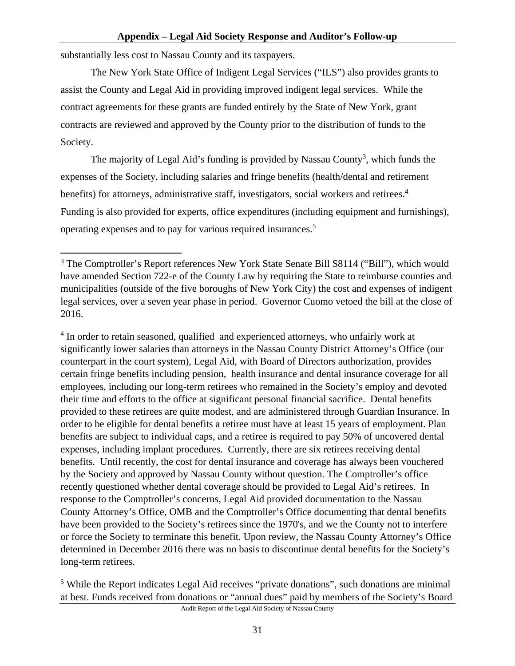substantially less cost to Nassau County and its taxpayers.

 The New York State Office of Indigent Legal Services ("ILS") also provides grants to assist the County and Legal Aid in providing improved indigent legal services. While the contract agreements for these grants are funded entirely by the State of New York, grant contracts are reviewed and approved by the County prior to the distribution of funds to the Society.

The majority of Legal Aid's funding is provided by Nassau County<sup>3</sup>, which funds the expenses of the Society, including salaries and fringe benefits (health/dental and retirement benefits) for attorneys, administrative staff, investigators, social workers and retirees.<sup>4</sup> Funding is also provided for experts, office expenditures (including equipment and furnishings), operating expenses and to pay for various required insurances.<sup>5</sup>

<sup>4</sup> In order to retain seasoned, qualified and experienced attorneys, who unfairly work at significantly lower salaries than attorneys in the Nassau County District Attorney's Office (our counterpart in the court system), Legal Aid, with Board of Directors authorization, provides certain fringe benefits including pension, health insurance and dental insurance coverage for all employees, including our long-term retirees who remained in the Society's employ and devoted their time and efforts to the office at significant personal financial sacrifice. Dental benefits provided to these retirees are quite modest, and are administered through Guardian Insurance. In order to be eligible for dental benefits a retiree must have at least 15 years of employment. Plan benefits are subject to individual caps, and a retiree is required to pay 50% of uncovered dental expenses, including implant procedures. Currently, there are six retirees receiving dental benefits. Until recently, the cost for dental insurance and coverage has always been vouchered by the Society and approved by Nassau County without question. The Comptroller's office recently questioned whether dental coverage should be provided to Legal Aid's retirees. In response to the Comptroller's concerns, Legal Aid provided documentation to the Nassau County Attorney's Office, OMB and the Comptroller's Office documenting that dental benefits have been provided to the Society's retirees since the 1970's, and we the County not to interfere or force the Society to terminate this benefit. Upon review, the Nassau County Attorney's Office determined in December 2016 there was no basis to discontinue dental benefits for the Society's long-term retirees.

 $\overline{a}$ <sup>3</sup> The Comptroller's Report references New York State Senate Bill S8114 ("Bill"), which would have amended Section 722-e of the County Law by requiring the State to reimburse counties and municipalities (outside of the five boroughs of New York City) the cost and expenses of indigent legal services, over a seven year phase in period. Governor Cuomo vetoed the bill at the close of 2016.

<sup>&</sup>lt;sup>5</sup> While the Report indicates Legal Aid receives "private donations", such donations are minimal at best. Funds received from donations or "annual dues" paid by members of the Society's Board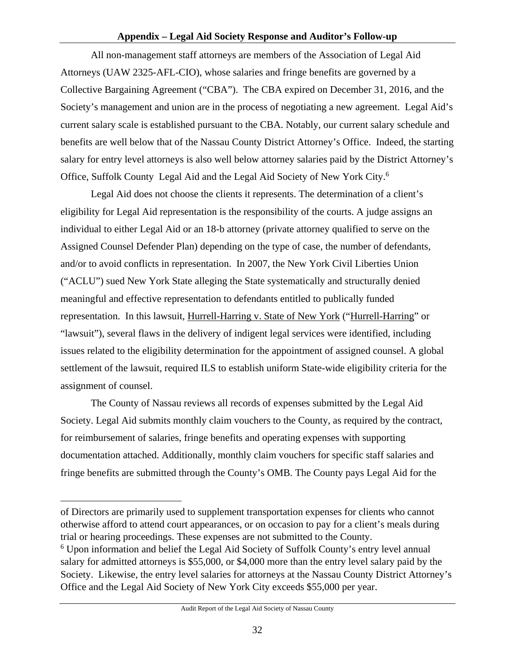All non-management staff attorneys are members of the Association of Legal Aid Attorneys (UAW 2325-AFL-CIO), whose salaries and fringe benefits are governed by a Collective Bargaining Agreement ("CBA"). The CBA expired on December 31, 2016, and the Society's management and union are in the process of negotiating a new agreement. Legal Aid's current salary scale is established pursuant to the CBA. Notably, our current salary schedule and benefits are well below that of the Nassau County District Attorney's Office. Indeed, the starting salary for entry level attorneys is also well below attorney salaries paid by the District Attorney's Office, Suffolk County Legal Aid and the Legal Aid Society of New York City.<sup>6</sup>

 Legal Aid does not choose the clients it represents. The determination of a client's eligibility for Legal Aid representation is the responsibility of the courts. A judge assigns an individual to either Legal Aid or an 18-b attorney (private attorney qualified to serve on the Assigned Counsel Defender Plan) depending on the type of case, the number of defendants, and/or to avoid conflicts in representation. In 2007, the New York Civil Liberties Union ("ACLU") sued New York State alleging the State systematically and structurally denied meaningful and effective representation to defendants entitled to publically funded representation. In this lawsuit, Hurrell-Harring v. State of New York ("Hurrell-Harring" or "lawsuit"), several flaws in the delivery of indigent legal services were identified, including issues related to the eligibility determination for the appointment of assigned counsel. A global settlement of the lawsuit, required ILS to establish uniform State-wide eligibility criteria for the assignment of counsel.

 The County of Nassau reviews all records of expenses submitted by the Legal Aid Society. Legal Aid submits monthly claim vouchers to the County, as required by the contract, for reimbursement of salaries, fringe benefits and operating expenses with supporting documentation attached. Additionally, monthly claim vouchers for specific staff salaries and fringe benefits are submitted through the County's OMB. The County pays Legal Aid for the

 $\overline{a}$ 

of Directors are primarily used to supplement transportation expenses for clients who cannot otherwise afford to attend court appearances, or on occasion to pay for a client's meals during trial or hearing proceedings. These expenses are not submitted to the County.

<sup>&</sup>lt;sup>6</sup> Upon information and belief the Legal Aid Society of Suffolk County's entry level annual salary for admitted attorneys is \$55,000, or \$4,000 more than the entry level salary paid by the Society. Likewise, the entry level salaries for attorneys at the Nassau County District Attorney's Office and the Legal Aid Society of New York City exceeds \$55,000 per year.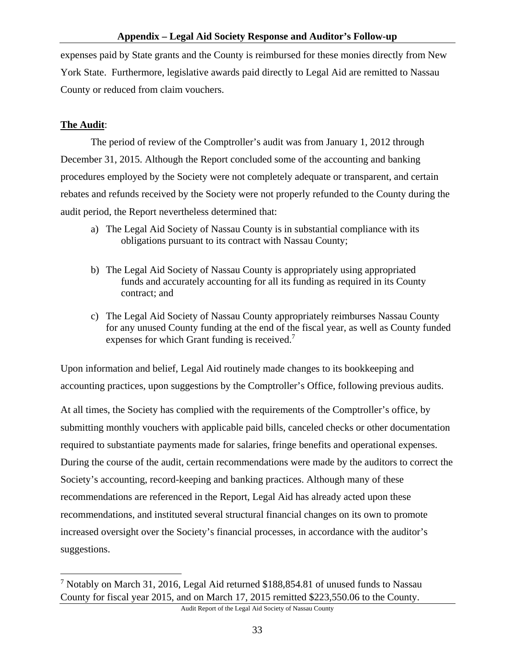expenses paid by State grants and the County is reimbursed for these monies directly from New York State. Furthermore, legislative awards paid directly to Legal Aid are remitted to Nassau County or reduced from claim vouchers.

### **The Audit**:

 $\overline{a}$ 

 The period of review of the Comptroller's audit was from January 1, 2012 through December 31, 2015. Although the Report concluded some of the accounting and banking procedures employed by the Society were not completely adequate or transparent, and certain rebates and refunds received by the Society were not properly refunded to the County during the audit period, the Report nevertheless determined that:

- a) The Legal Aid Society of Nassau County is in substantial compliance with its obligations pursuant to its contract with Nassau County;
- b) The Legal Aid Society of Nassau County is appropriately using appropriated funds and accurately accounting for all its funding as required in its County contract; and
- c) The Legal Aid Society of Nassau County appropriately reimburses Nassau County for any unused County funding at the end of the fiscal year, as well as County funded expenses for which Grant funding is received.<sup>7</sup>

Upon information and belief, Legal Aid routinely made changes to its bookkeeping and accounting practices, upon suggestions by the Comptroller's Office, following previous audits.

At all times, the Society has complied with the requirements of the Comptroller's office, by submitting monthly vouchers with applicable paid bills, canceled checks or other documentation required to substantiate payments made for salaries, fringe benefits and operational expenses. During the course of the audit, certain recommendations were made by the auditors to correct the Society's accounting, record-keeping and banking practices. Although many of these recommendations are referenced in the Report, Legal Aid has already acted upon these recommendations, and instituted several structural financial changes on its own to promote increased oversight over the Society's financial processes, in accordance with the auditor's suggestions.

<sup>&</sup>lt;sup>7</sup> Notably on March 31, 2016, Legal Aid returned \$188,854.81 of unused funds to Nassau County for fiscal year 2015, and on March 17, 2015 remitted \$223,550.06 to the County.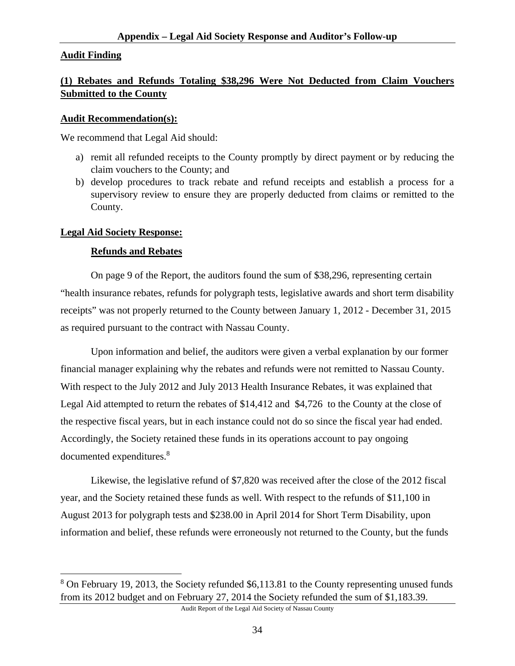#### **Audit Finding**

### **(1) Rebates and Refunds Totaling \$38,296 Were Not Deducted from Claim Vouchers Submitted to the County**

#### **Audit Recommendation(s):**

We recommend that Legal Aid should:

- a) remit all refunded receipts to the County promptly by direct payment or by reducing the claim vouchers to the County; and
- b) develop procedures to track rebate and refund receipts and establish a process for a supervisory review to ensure they are properly deducted from claims or remitted to the County.

#### **Legal Aid Society Response:**

 $\overline{a}$ 

#### **Refunds and Rebates**

 On page 9 of the Report, the auditors found the sum of \$38,296, representing certain "health insurance rebates, refunds for polygraph tests, legislative awards and short term disability receipts" was not properly returned to the County between January 1, 2012 - December 31, 2015 as required pursuant to the contract with Nassau County.

 Upon information and belief, the auditors were given a verbal explanation by our former financial manager explaining why the rebates and refunds were not remitted to Nassau County. With respect to the July 2012 and July 2013 Health Insurance Rebates, it was explained that Legal Aid attempted to return the rebates of \$14,412 and \$4,726 to the County at the close of the respective fiscal years, but in each instance could not do so since the fiscal year had ended. Accordingly, the Society retained these funds in its operations account to pay ongoing documented expenditures.<sup>8</sup>

 Likewise, the legislative refund of \$7,820 was received after the close of the 2012 fiscal year, and the Society retained these funds as well. With respect to the refunds of \$11,100 in August 2013 for polygraph tests and \$238.00 in April 2014 for Short Term Disability, upon information and belief, these refunds were erroneously not returned to the County, but the funds

<sup>&</sup>lt;sup>8</sup> On February 19, 2013, the Society refunded \$6,113.81 to the County representing unused funds from its 2012 budget and on February 27, 2014 the Society refunded the sum of \$1,183.39.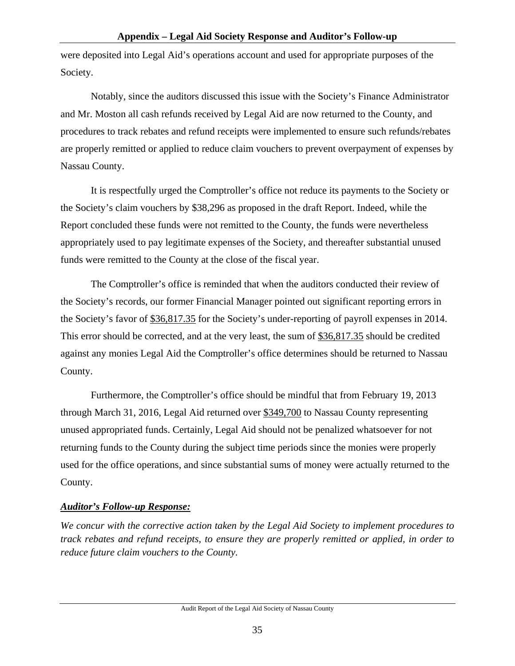were deposited into Legal Aid's operations account and used for appropriate purposes of the Society.

 Notably, since the auditors discussed this issue with the Society's Finance Administrator and Mr. Moston all cash refunds received by Legal Aid are now returned to the County, and procedures to track rebates and refund receipts were implemented to ensure such refunds/rebates are properly remitted or applied to reduce claim vouchers to prevent overpayment of expenses by Nassau County.

 It is respectfully urged the Comptroller's office not reduce its payments to the Society or the Society's claim vouchers by \$38,296 as proposed in the draft Report. Indeed, while the Report concluded these funds were not remitted to the County, the funds were nevertheless appropriately used to pay legitimate expenses of the Society, and thereafter substantial unused funds were remitted to the County at the close of the fiscal year.

 The Comptroller's office is reminded that when the auditors conducted their review of the Society's records, our former Financial Manager pointed out significant reporting errors in the Society's favor of \$36,817.35 for the Society's under-reporting of payroll expenses in 2014. This error should be corrected, and at the very least, the sum of \$36,817.35 should be credited against any monies Legal Aid the Comptroller's office determines should be returned to Nassau County.

 Furthermore, the Comptroller's office should be mindful that from February 19, 2013 through March 31, 2016, Legal Aid returned over \$349,700 to Nassau County representing unused appropriated funds. Certainly, Legal Aid should not be penalized whatsoever for not returning funds to the County during the subject time periods since the monies were properly used for the office operations, and since substantial sums of money were actually returned to the County.

### *Auditor's Follow-up Response:*

*We concur with the corrective action taken by the Legal Aid Society to implement procedures to track rebates and refund receipts, to ensure they are properly remitted or applied, in order to reduce future claim vouchers to the County.*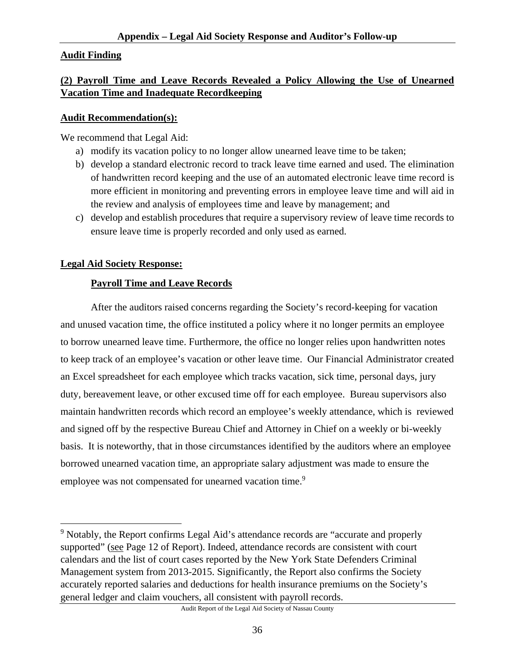### **Audit Finding**

### **(2) Payroll Time and Leave Records Revealed a Policy Allowing the Use of Unearned Vacation Time and Inadequate Recordkeeping**

#### **Audit Recommendation(s):**

We recommend that Legal Aid:

- a) modify its vacation policy to no longer allow unearned leave time to be taken;
- b) develop a standard electronic record to track leave time earned and used. The elimination of handwritten record keeping and the use of an automated electronic leave time record is more efficient in monitoring and preventing errors in employee leave time and will aid in the review and analysis of employees time and leave by management; and
- c) develop and establish procedures that require a supervisory review of leave time records to ensure leave time is properly recorded and only used as earned.

### **Legal Aid Society Response:**

 $\overline{a}$ 

### **Payroll Time and Leave Records**

 After the auditors raised concerns regarding the Society's record-keeping for vacation and unused vacation time, the office instituted a policy where it no longer permits an employee to borrow unearned leave time. Furthermore, the office no longer relies upon handwritten notes to keep track of an employee's vacation or other leave time. Our Financial Administrator created an Excel spreadsheet for each employee which tracks vacation, sick time, personal days, jury duty, bereavement leave, or other excused time off for each employee. Bureau supervisors also maintain handwritten records which record an employee's weekly attendance, which is reviewed and signed off by the respective Bureau Chief and Attorney in Chief on a weekly or bi-weekly basis. It is noteworthy, that in those circumstances identified by the auditors where an employee borrowed unearned vacation time, an appropriate salary adjustment was made to ensure the employee was not compensated for unearned vacation time.<sup>9</sup>

<sup>&</sup>lt;sup>9</sup> Notably, the Report confirms Legal Aid's attendance records are "accurate and properly supported" (see Page 12 of Report). Indeed, attendance records are consistent with court calendars and the list of court cases reported by the New York State Defenders Criminal Management system from 2013-2015. Significantly, the Report also confirms the Society accurately reported salaries and deductions for health insurance premiums on the Society's general ledger and claim vouchers, all consistent with payroll records.

Audit Report of the Legal Aid Society of Nassau County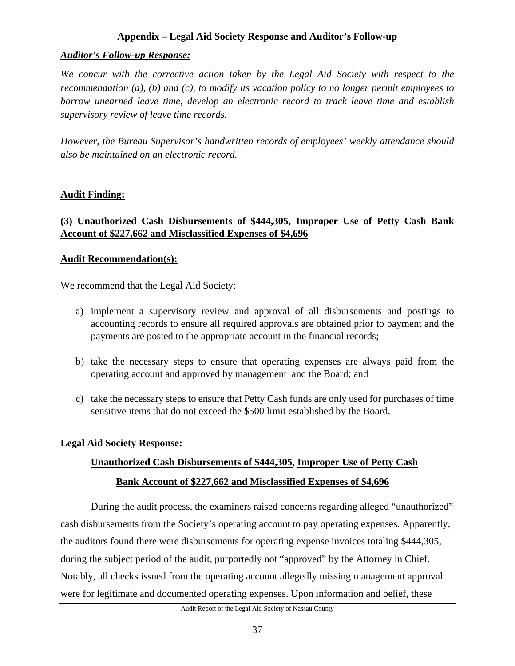#### **Appendix – Legal Aid Society Response and Auditor's Follow-up**

#### *Auditor's Follow-up Response:*

*We concur with the corrective action taken by the Legal Aid Society with respect to the recommendation (a), (b) and (c), to modify its vacation policy to no longer permit employees to borrow unearned leave time, develop an electronic record to track leave time and establish supervisory review of leave time records.* 

*However, the Bureau Supervisor's handwritten records of employees' weekly attendance should also be maintained on an electronic record.* 

#### **Audit Finding:**

### **(3) Unauthorized Cash Disbursements of \$444,305, Improper Use of Petty Cash Bank Account of \$227,662 and Misclassified Expenses of \$4,696**

#### **Audit Recommendation(s):**

We recommend that the Legal Aid Society:

- a) implement a supervisory review and approval of all disbursements and postings to accounting records to ensure all required approvals are obtained prior to payment and the payments are posted to the appropriate account in the financial records;
- b) take the necessary steps to ensure that operating expenses are always paid from the operating account and approved by management and the Board; and
- c) take the necessary steps to ensure that Petty Cash funds are only used for purchases of time sensitive items that do not exceed the \$500 limit established by the Board.

#### **Legal Aid Society Response:**

# **Unauthorized Cash Disbursements of \$444,305**, **Improper Use of Petty Cash Bank Account of \$227,662 and Misclassified Expenses of \$4,696**

 During the audit process, the examiners raised concerns regarding alleged "unauthorized" cash disbursements from the Society's operating account to pay operating expenses. Apparently, the auditors found there were disbursements for operating expense invoices totaling \$444,305, during the subject period of the audit, purportedly not "approved" by the Attorney in Chief. Notably, all checks issued from the operating account allegedly missing management approval were for legitimate and documented operating expenses. Upon information and belief, these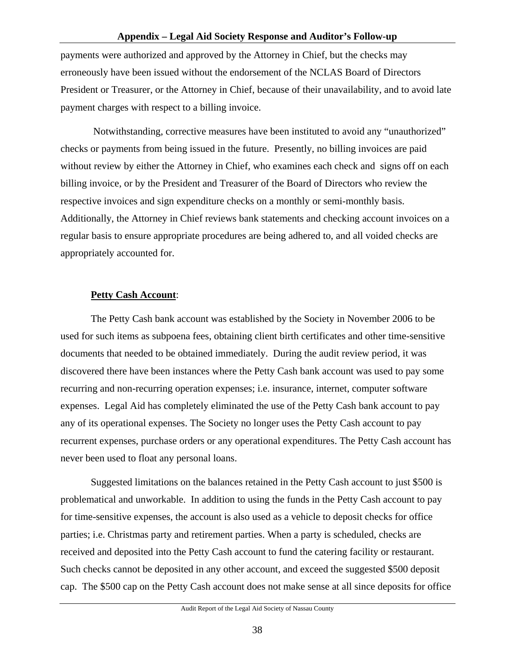payments were authorized and approved by the Attorney in Chief, but the checks may erroneously have been issued without the endorsement of the NCLAS Board of Directors President or Treasurer, or the Attorney in Chief, because of their unavailability, and to avoid late payment charges with respect to a billing invoice.

 Notwithstanding, corrective measures have been instituted to avoid any "unauthorized" checks or payments from being issued in the future. Presently, no billing invoices are paid without review by either the Attorney in Chief, who examines each check and signs off on each billing invoice, or by the President and Treasurer of the Board of Directors who review the respective invoices and sign expenditure checks on a monthly or semi-monthly basis. Additionally, the Attorney in Chief reviews bank statements and checking account invoices on a regular basis to ensure appropriate procedures are being adhered to, and all voided checks are appropriately accounted for.

#### **Petty Cash Account**:

 The Petty Cash bank account was established by the Society in November 2006 to be used for such items as subpoena fees, obtaining client birth certificates and other time-sensitive documents that needed to be obtained immediately. During the audit review period, it was discovered there have been instances where the Petty Cash bank account was used to pay some recurring and non-recurring operation expenses; i.e. insurance, internet, computer software expenses. Legal Aid has completely eliminated the use of the Petty Cash bank account to pay any of its operational expenses. The Society no longer uses the Petty Cash account to pay recurrent expenses, purchase orders or any operational expenditures. The Petty Cash account has never been used to float any personal loans.

 Suggested limitations on the balances retained in the Petty Cash account to just \$500 is problematical and unworkable. In addition to using the funds in the Petty Cash account to pay for time-sensitive expenses, the account is also used as a vehicle to deposit checks for office parties; i.e. Christmas party and retirement parties. When a party is scheduled, checks are received and deposited into the Petty Cash account to fund the catering facility or restaurant. Such checks cannot be deposited in any other account, and exceed the suggested \$500 deposit cap. The \$500 cap on the Petty Cash account does not make sense at all since deposits for office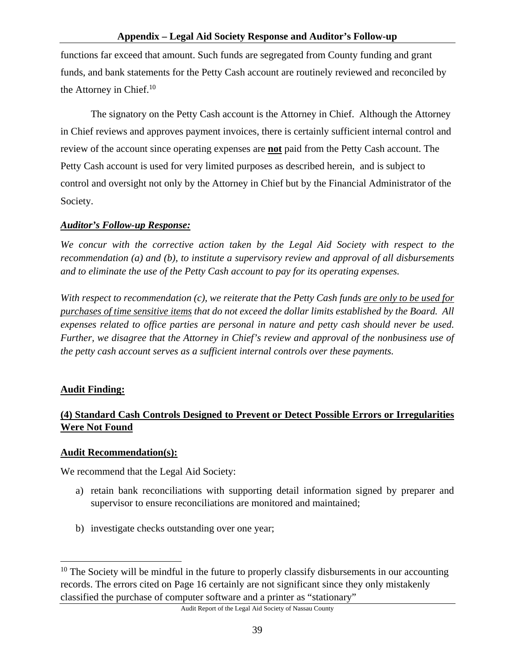functions far exceed that amount. Such funds are segregated from County funding and grant funds, and bank statements for the Petty Cash account are routinely reviewed and reconciled by the Attorney in Chief.<sup>10</sup>

 The signatory on the Petty Cash account is the Attorney in Chief. Although the Attorney in Chief reviews and approves payment invoices, there is certainly sufficient internal control and review of the account since operating expenses are **not** paid from the Petty Cash account. The Petty Cash account is used for very limited purposes as described herein, and is subject to control and oversight not only by the Attorney in Chief but by the Financial Administrator of the Society.

### *Auditor's Follow-up Response:*

*We concur with the corrective action taken by the Legal Aid Society with respect to the recommendation (a) and (b), to institute a supervisory review and approval of all disbursements and to eliminate the use of the Petty Cash account to pay for its operating expenses.* 

*With respect to recommendation (c), we reiterate that the Petty Cash funds are only to be used for purchases of time sensitive items that do not exceed the dollar limits established by the Board. All expenses related to office parties are personal in nature and petty cash should never be used. Further, we disagree that the Attorney in Chief's review and approval of the nonbusiness use of the petty cash account serves as a sufficient internal controls over these payments.* 

### **Audit Finding:**

## **(4) Standard Cash Controls Designed to Prevent or Detect Possible Errors or Irregularities Were Not Found**

### **Audit Recommendation(s):**

We recommend that the Legal Aid Society:

- a) retain bank reconciliations with supporting detail information signed by preparer and supervisor to ensure reconciliations are monitored and maintained;
- b) investigate checks outstanding over one year;

<sup>1</sup>  $10$  The Society will be mindful in the future to properly classify disbursements in our accounting records. The errors cited on Page 16 certainly are not significant since they only mistakenly classified the purchase of computer software and a printer as "stationary"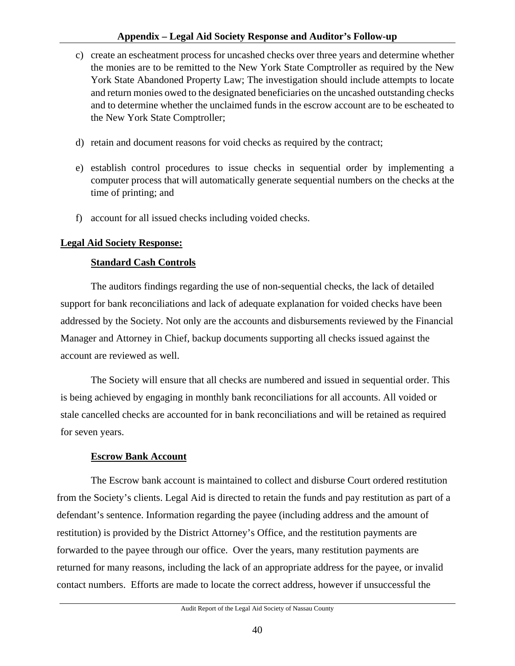#### **Appendix – Legal Aid Society Response and Auditor's Follow-up**

- c) create an escheatment process for uncashed checks over three years and determine whether the monies are to be remitted to the New York State Comptroller as required by the New York State Abandoned Property Law; The investigation should include attempts to locate and return monies owed to the designated beneficiaries on the uncashed outstanding checks and to determine whether the unclaimed funds in the escrow account are to be escheated to the New York State Comptroller;
- d) retain and document reasons for void checks as required by the contract;
- e) establish control procedures to issue checks in sequential order by implementing a computer process that will automatically generate sequential numbers on the checks at the time of printing; and
- f) account for all issued checks including voided checks.

#### **Legal Aid Society Response:**

#### **Standard Cash Controls**

 The auditors findings regarding the use of non-sequential checks, the lack of detailed support for bank reconciliations and lack of adequate explanation for voided checks have been addressed by the Society. Not only are the accounts and disbursements reviewed by the Financial Manager and Attorney in Chief, backup documents supporting all checks issued against the account are reviewed as well.

 The Society will ensure that all checks are numbered and issued in sequential order. This is being achieved by engaging in monthly bank reconciliations for all accounts. All voided or stale cancelled checks are accounted for in bank reconciliations and will be retained as required for seven years.

#### **Escrow Bank Account**

The Escrow bank account is maintained to collect and disburse Court ordered restitution from the Society's clients. Legal Aid is directed to retain the funds and pay restitution as part of a defendant's sentence. Information regarding the payee (including address and the amount of restitution) is provided by the District Attorney's Office, and the restitution payments are forwarded to the payee through our office. Over the years, many restitution payments are returned for many reasons, including the lack of an appropriate address for the payee, or invalid contact numbers. Efforts are made to locate the correct address, however if unsuccessful the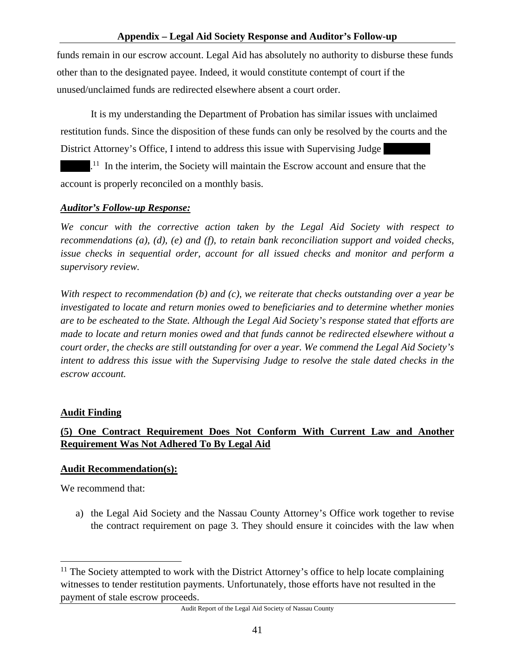funds remain in our escrow account. Legal Aid has absolutely no authority to disburse these funds other than to the designated payee. Indeed, it would constitute contempt of court if the unused/unclaimed funds are redirected elsewhere absent a court order.

 It is my understanding the Department of Probation has similar issues with unclaimed restitution funds. Since the disposition of these funds can only be resolved by the courts and the District Attorney's Office, I intend to address this issue with Supervising Judge

 $\mathbb{R}^{11}$ . In the interim, the Society will maintain the Escrow account and ensure that the account is properly reconciled on a monthly basis.

### *Auditor's Follow-up Response:*

*We concur with the corrective action taken by the Legal Aid Society with respect to recommendations (a), (d), (e) and (f), to retain bank reconciliation support and voided checks, issue checks in sequential order, account for all issued checks and monitor and perform a supervisory review.* 

*With respect to recommendation (b) and (c), we reiterate that checks outstanding over a year be investigated to locate and return monies owed to beneficiaries and to determine whether monies are to be escheated to the State. Although the Legal Aid Society's response stated that efforts are made to locate and return monies owed and that funds cannot be redirected elsewhere without a court order, the checks are still outstanding for over a year. We commend the Legal Aid Society's intent to address this issue with the Supervising Judge to resolve the stale dated checks in the escrow account.* 

#### **Audit Finding**

## **(5) One Contract Requirement Does Not Conform With Current Law and Another Requirement Was Not Adhered To By Legal Aid**

#### **Audit Recommendation(s):**

We recommend that:

 $\overline{a}$ 

a) the Legal Aid Society and the Nassau County Attorney's Office work together to revise the contract requirement on page 3. They should ensure it coincides with the law when

 $11$  The Society attempted to work with the District Attorney's office to help locate complaining witnesses to tender restitution payments. Unfortunately, those efforts have not resulted in the payment of stale escrow proceeds.

Audit Report of the Legal Aid Society of Nassau County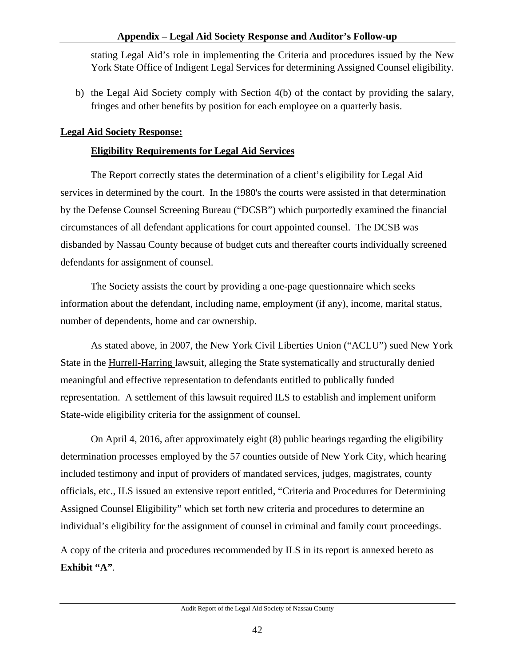stating Legal Aid's role in implementing the Criteria and procedures issued by the New York State Office of Indigent Legal Services for determining Assigned Counsel eligibility.

b) the Legal Aid Society comply with Section 4(b) of the contact by providing the salary, fringes and other benefits by position for each employee on a quarterly basis.

### **Legal Aid Society Response:**

### **Eligibility Requirements for Legal Aid Services**

 The Report correctly states the determination of a client's eligibility for Legal Aid services in determined by the court. In the 1980's the courts were assisted in that determination by the Defense Counsel Screening Bureau ("DCSB") which purportedly examined the financial circumstances of all defendant applications for court appointed counsel. The DCSB was disbanded by Nassau County because of budget cuts and thereafter courts individually screened defendants for assignment of counsel.

 The Society assists the court by providing a one-page questionnaire which seeks information about the defendant, including name, employment (if any), income, marital status, number of dependents, home and car ownership.

 As stated above, in 2007, the New York Civil Liberties Union ("ACLU") sued New York State in the Hurrell-Harring lawsuit, alleging the State systematically and structurally denied meaningful and effective representation to defendants entitled to publically funded representation. A settlement of this lawsuit required ILS to establish and implement uniform State-wide eligibility criteria for the assignment of counsel.

 On April 4, 2016, after approximately eight (8) public hearings regarding the eligibility determination processes employed by the 57 counties outside of New York City, which hearing included testimony and input of providers of mandated services, judges, magistrates, county officials, etc., ILS issued an extensive report entitled, "Criteria and Procedures for Determining Assigned Counsel Eligibility" which set forth new criteria and procedures to determine an individual's eligibility for the assignment of counsel in criminal and family court proceedings.

A copy of the criteria and procedures recommended by ILS in its report is annexed hereto as **Exhibit "A"**.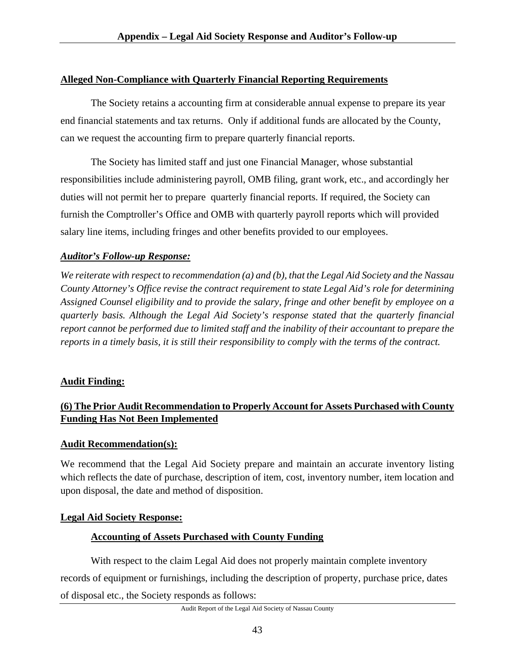### **Alleged Non-Compliance with Quarterly Financial Reporting Requirements**

 The Society retains a accounting firm at considerable annual expense to prepare its year end financial statements and tax returns. Only if additional funds are allocated by the County, can we request the accounting firm to prepare quarterly financial reports.

 The Society has limited staff and just one Financial Manager, whose substantial responsibilities include administering payroll, OMB filing, grant work, etc., and accordingly her duties will not permit her to prepare quarterly financial reports. If required, the Society can furnish the Comptroller's Office and OMB with quarterly payroll reports which will provided salary line items, including fringes and other benefits provided to our employees.

### *Auditor's Follow-up Response:*

*We reiterate with respect to recommendation (a) and (b), that the Legal Aid Society and the Nassau County Attorney's Office revise the contract requirement to state Legal Aid's role for determining Assigned Counsel eligibility and to provide the salary, fringe and other benefit by employee on a quarterly basis. Although the Legal Aid Society's response stated that the quarterly financial report cannot be performed due to limited staff and the inability of their accountant to prepare the reports in a timely basis, it is still their responsibility to comply with the terms of the contract.* 

### **Audit Finding:**

### **(6) The Prior Audit Recommendation to Properly Account for Assets Purchased with County Funding Has Not Been Implemented**

#### **Audit Recommendation(s):**

We recommend that the Legal Aid Society prepare and maintain an accurate inventory listing which reflects the date of purchase, description of item, cost, inventory number, item location and upon disposal, the date and method of disposition.

### **Legal Aid Society Response:**

### **Accounting of Assets Purchased with County Funding**

With respect to the claim Legal Aid does not properly maintain complete inventory records of equipment or furnishings, including the description of property, purchase price, dates of disposal etc., the Society responds as follows: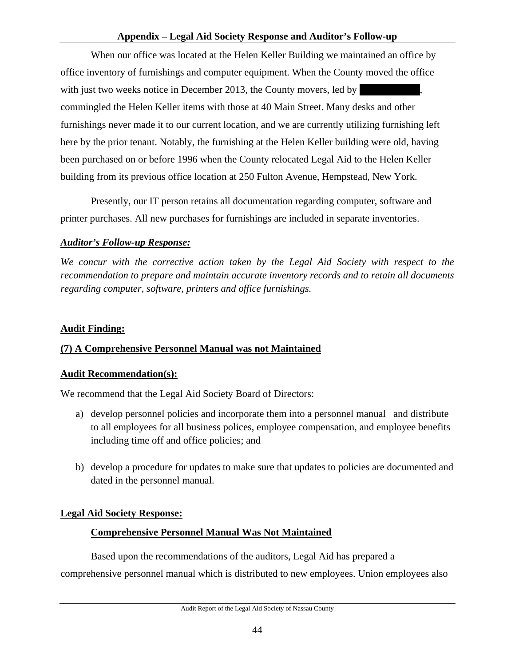#### **Appendix – Legal Aid Society Response and Auditor's Follow-up**

 When our office was located at the Helen Keller Building we maintained an office by office inventory of furnishings and computer equipment. When the County moved the office with just two weeks notice in December 2013, the County movers, led by commingled the Helen Keller items with those at 40 Main Street. Many desks and other furnishings never made it to our current location, and we are currently utilizing furnishing left here by the prior tenant. Notably, the furnishing at the Helen Keller building were old, having been purchased on or before 1996 when the County relocated Legal Aid to the Helen Keller building from its previous office location at 250 Fulton Avenue, Hempstead, New York.

 Presently, our IT person retains all documentation regarding computer, software and printer purchases. All new purchases for furnishings are included in separate inventories.

#### *Auditor's Follow-up Response:*

*We concur with the corrective action taken by the Legal Aid Society with respect to the recommendation to prepare and maintain accurate inventory records and to retain all documents regarding computer, software, printers and office furnishings.* 

#### **Audit Finding:**

### **(7) A Comprehensive Personnel Manual was not Maintained**

#### **Audit Recommendation(s):**

We recommend that the Legal Aid Society Board of Directors:

- a) develop personnel policies and incorporate them into a personnel manual and distribute to all employees for all business polices, employee compensation, and employee benefits including time off and office policies; and
- b) develop a procedure for updates to make sure that updates to policies are documented and dated in the personnel manual.

#### **Legal Aid Society Response:**

#### **Comprehensive Personnel Manual Was Not Maintained**

 Based upon the recommendations of the auditors, Legal Aid has prepared a comprehensive personnel manual which is distributed to new employees. Union employees also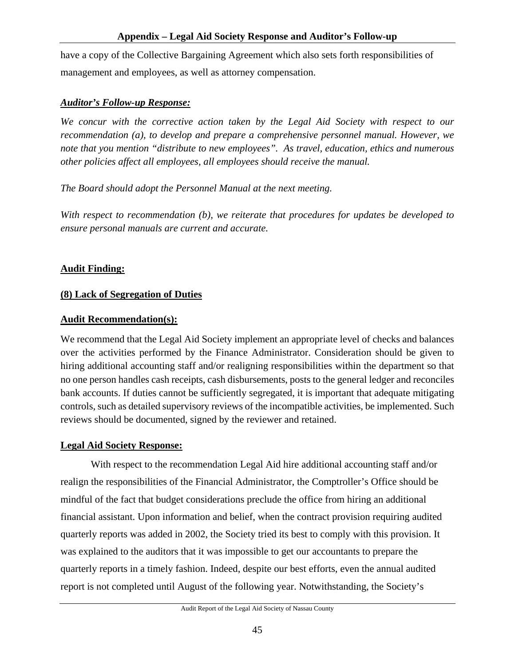have a copy of the Collective Bargaining Agreement which also sets forth responsibilities of management and employees, as well as attorney compensation.

### *Auditor's Follow-up Response:*

*We concur with the corrective action taken by the Legal Aid Society with respect to our recommendation (a), to develop and prepare a comprehensive personnel manual. However, we note that you mention "distribute to new employees". As travel, education, ethics and numerous other policies affect all employees, all employees should receive the manual.* 

*The Board should adopt the Personnel Manual at the next meeting.* 

*With respect to recommendation (b), we reiterate that procedures for updates be developed to ensure personal manuals are current and accurate.* 

### **Audit Finding:**

### **(8) Lack of Segregation of Duties**

### **Audit Recommendation(s):**

We recommend that the Legal Aid Society implement an appropriate level of checks and balances over the activities performed by the Finance Administrator. Consideration should be given to hiring additional accounting staff and/or realigning responsibilities within the department so that no one person handles cash receipts, cash disbursements, posts to the general ledger and reconciles bank accounts. If duties cannot be sufficiently segregated, it is important that adequate mitigating controls, such as detailed supervisory reviews of the incompatible activities, be implemented. Such reviews should be documented, signed by the reviewer and retained.

#### **Legal Aid Society Response:**

 With respect to the recommendation Legal Aid hire additional accounting staff and/or realign the responsibilities of the Financial Administrator, the Comptroller's Office should be mindful of the fact that budget considerations preclude the office from hiring an additional financial assistant. Upon information and belief, when the contract provision requiring audited quarterly reports was added in 2002, the Society tried its best to comply with this provision. It was explained to the auditors that it was impossible to get our accountants to prepare the quarterly reports in a timely fashion. Indeed, despite our best efforts, even the annual audited report is not completed until August of the following year. Notwithstanding, the Society's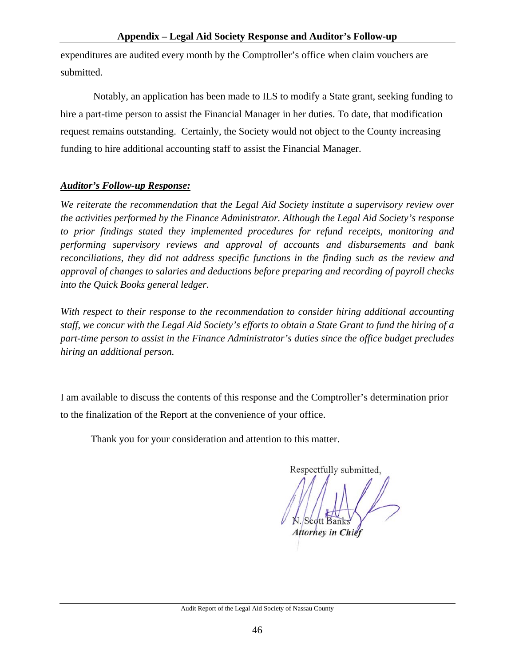expenditures are audited every month by the Comptroller's office when claim vouchers are submitted.

 Notably, an application has been made to ILS to modify a State grant, seeking funding to hire a part-time person to assist the Financial Manager in her duties. To date, that modification request remains outstanding. Certainly, the Society would not object to the County increasing funding to hire additional accounting staff to assist the Financial Manager.

#### *Auditor's Follow-up Response:*

*We reiterate the recommendation that the Legal Aid Society institute a supervisory review over the activities performed by the Finance Administrator. Although the Legal Aid Society's response to prior findings stated they implemented procedures for refund receipts, monitoring and performing supervisory reviews and approval of accounts and disbursements and bank reconciliations, they did not address specific functions in the finding such as the review and approval of changes to salaries and deductions before preparing and recording of payroll checks into the Quick Books general ledger.* 

*With respect to their response to the recommendation to consider hiring additional accounting staff, we concur with the Legal Aid Society's efforts to obtain a State Grant to fund the hiring of a part-time person to assist in the Finance Administrator's duties since the office budget precludes hiring an additional person.* 

I am available to discuss the contents of this response and the Comptroller's determination prior to the finalization of the Report at the convenience of your office.

Thank you for your consideration and attention to this matter.

Respectfully submitted, **Attorney in Chie**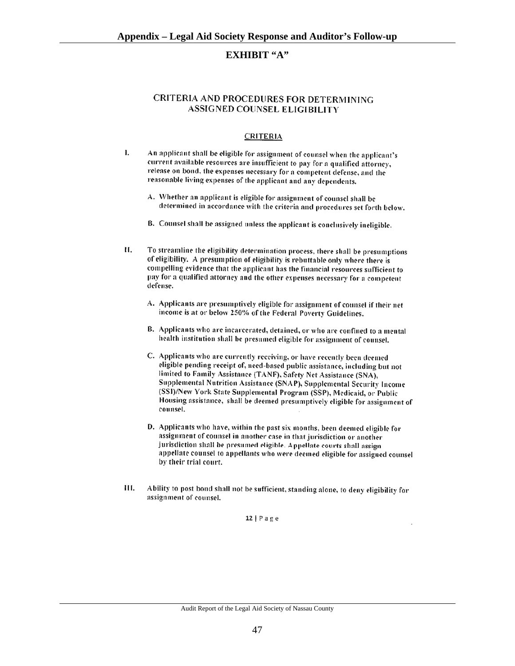#### **EXHIBIT "A"**

#### CRITERIA AND PROCEDURES FOR DETERMINING **ASSIGNED COUNSEL ELIGIBILITY**

#### **CRITERIA**

- 1. An applicant shall be eligible for assignment of counsel when the applicant's current available resources are insufficient to pay for a qualified attorney, release on bond, the expenses necessary for a competent defense, and the reasonable living expenses of the applicant and any dependents.
	- A. Whether an applicant is eligible for assignment of counsel shall be determined in accordance with the criteria and procedures set forth below.
	- B. Counsel shall be assigned unless the applicant is conclusively ineligible.
- $II.$ To streamline the eligibility determination process, there shall be presumptions of eligibility. A presumption of eligibility is rebuttable only where there is compelling evidence that the applicant has the financial resources sufficient to pay for a qualified attorney and the other expenses necessary for a competent defense.
	- A. Applicants are presumptively eligible for assignment of counsel if their net income is at or below 250% of the Federal Poverty Guidelines.
	- B. Applicants who are incarcerated, detained, or who are confined to a mental health institution shall be presumed eligible for assignment of counsel.
	- C. Applicants who are currently receiving, or have recently been deemed eligible pending receipt of, need-based public assistance, including but not limited to Family Assistance (TANF), Safety Net Assistance (SNA), Supplemental Nutrition Assistance (SNAP), Supplemental Security Income (SSI)/New York State Supplemental Program (SSP), Medicaid, or Public Housing assistance, shall be deemed presumptively eligible for assignment of counsel.
	- D. Applicants who have, within the past six months, been deemed eligible for assignment of counsel in another case in that jurisdiction or another jurisdiction shall be presumed eligible. Appellate courts shall assign appellate counsel to appellants who were deemed eligible for assigned counsel by their trial court.
- Ability to post bond shall not be sufficient, standing alone, to deny eligibility for Ш. assignment of counsel.

12 |  $P$  a  $g$  e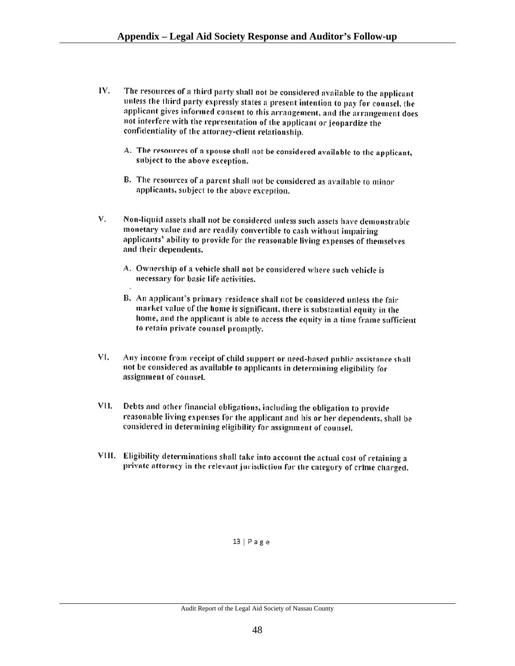- IV. The resources of a third party shall not be considered available to the applicant unless the third party expressly states a present intention to pay for counsel, the applicant gives informed consent to this arrangement, and the arrangement does not interfere with the representation of the applicant or jeopardize the confidentiality of the attorney-client relationship.
	- A. The resources of a spouse shall not be considered available to the applicant, subject to the above exception.
	- B. The resources of a parent shall not be considered as available to minor applicants, subject to the above exception.
- V. Non-liquid assets shall not be considered unless such assets have demonstrable monetary value and are readily convertible to cash without impairing applicants' ability to provide for the reasonable living expenses of themselves and their dependents.
	- A. Ownership of a vehicle shall not be considered where such vehicle is necessary for basic life activities.
	- B. An applicant's primary residence shall not be considered unless the fair market value of the home is significant, there is substantial equity in the home, and the applicant is able to access the equity in a time frame sufficient to retain private counsel promptly.
- VI. Any income from receipt of child support or need-based public assistance shall not be considered as available to applicants in determining eligibility for assignment of counsel.
- VII. Debts and other financial obligations, including the obligation to provide reasonable living expenses for the applicant and his or her dependents, shall be considered in determining eligibility for assignment of counsel.
- VIII. Eligibility determinations shall take into account the actual cost of retaining a private attorney in the relevant jurisdiction for the category of crime charged.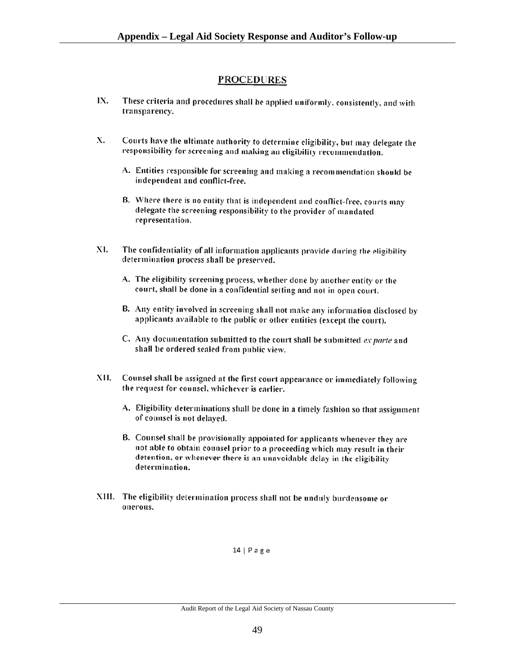### **PROCEDURES**

- IX. These criteria and procedures shall be applied uniformly, consistently, and with transparency.
- X. Courts have the ultimate authority to determine eligibility, but may delegate the responsibility for screening and making an eligibility recommendation.
	- A. Entities responsible for screening and making a recommendation should be independent and conflict-free.
	- B. Where there is no entity that is independent and conflict-free, courts may delegate the screening responsibility to the provider of mandated representation.
- XI. The confidentiality of all information applicants provide during the eligibility determination process shall be preserved.
	- A. The eligibility screening process, whether done by another entity or the court, shall be done in a confidential setting and not in open court.
	- B. Any entity involved in screening shall not make any information disclosed by applicants available to the public or other entities (except the court).
	- C. Any documentation submitted to the court shall be submitted ex parte and shall be ordered sealed from public view.
- Counsel shall be assigned at the first court appearance or immediately following XII. the request for counsel, whichever is earlier.
	- A. Eligibility determinations shall be done in a timely fashion so that assignment of counsel is not delayed.
	- B. Counsel shall be provisionally appointed for applicants whenever they are not able to obtain counsel prior to a proceeding which may result in their detention, or whenever there is an unavoidable delay in the eligibility determination.
- XIII. The eligibility determination process shall not be unduly burdensome or onerous.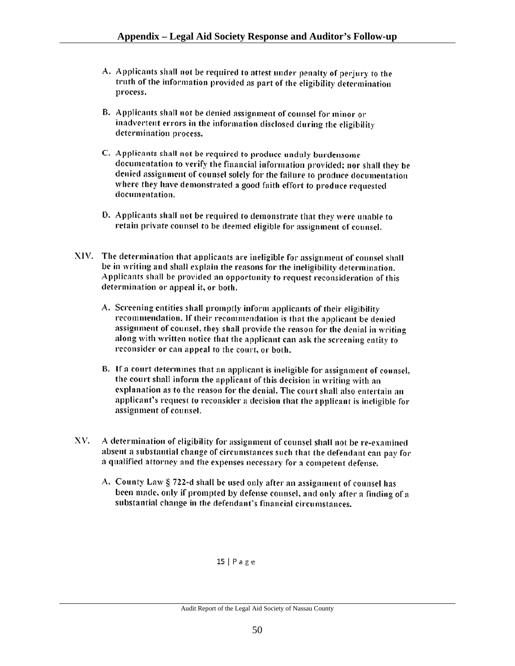- A. Applicants shall not be required to attest under penalty of perjury to the truth of the information provided as part of the eligibility determination process.
- B. Applicants shall not be denied assignment of counsel for minor or inadvertent errors in the information disclosed during the eligibility determination process.
- C. Applicants shall not be required to produce unduly burdensome documentation to verify the financial information provided; nor shall they be denied assignment of counsel solely for the failure to produce documentation where they have demonstrated a good faith effort to produce requested documentation.
- D. Applicants shall not be required to demonstrate that they were unable to retain private counsel to be deemed eligible for assignment of counsel.
- XIV. The determination that applicants are ineligible for assignment of counsel shall be in writing and shall explain the reasons for the ineligibility determination. Applicants shall be provided an opportunity to request reconsideration of this determination or appeal it, or both.
	- A. Screening entities shall promptly inform applicants of their eligibility recommendation. If their recommendation is that the applicant be denied assignment of counsel, they shall provide the reason for the denial in writing along with written notice that the applicant can ask the screening entity to reconsider or can appeal to the court, or both.
	- B. If a court determines that an applicant is ineligible for assignment of counsel, the court shall inform the applicant of this decision in writing with an explanation as to the reason for the denial. The court shall also entertain an applicant's request to reconsider a decision that the applicant is incligible for assignment of counsel.
- A determination of eligibility for assignment of counsel shall not be re-examined XV. absent a substantial change of circumstances such that the defendant can pay for a qualified attorney and the expenses necessary for a competent defense.
	- A. County Law § 722-d shall be used only after an assignment of counsel has been made, only if prompted by defense counsel, and only after a finding of a substantial change in the defendant's financial circumstances.